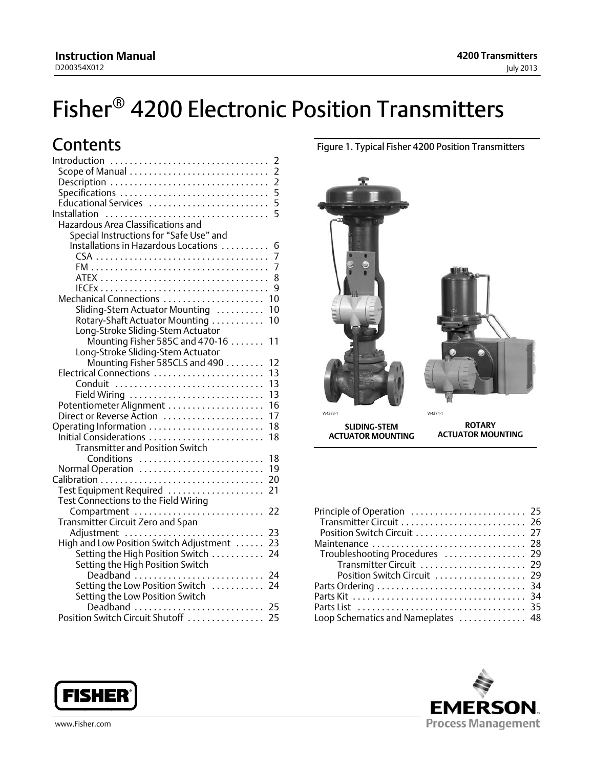# <span id="page-0-0"></span>**Contents**

| Introduction                                 | 2             |
|----------------------------------------------|---------------|
| Scope of Manual                              | $\frac{2}{2}$ |
| Description                                  |               |
| Specifications                               | 5             |
| Educational Services                         | 5             |
| Installation                                 | 5             |
| Hazardous Area Classifications and           |               |
| Special Instructions for "Safe Use" and      |               |
| Installations in Hazardous Locations         | 6             |
|                                              | 7             |
|                                              | 7             |
|                                              | 8             |
|                                              | 9             |
| Mechanical Connections                       | 10            |
| Sliding-Stem Actuator Mounting               | 10            |
| Rotary-Shaft Actuator Mounting               | 10            |
| Long-Stroke Sliding-Stem Actuator            |               |
| Mounting Fisher 585C and 470-16 $\dots\dots$ | 11            |
| Long-Stroke Sliding-Stem Actuator            |               |
|                                              | 12            |
| Mounting Fisher 585CLS and 490               | 13            |
| Electrical Connections                       | 13            |
| Conduit                                      |               |
| Field Wiring                                 | 13            |
| Potentiometer Alignment                      | 16            |
| Direct or Reverse Action                     | 17            |
| Operating Information                        | 18            |
| Initial Considerations                       | 18            |
| <b>Transmitter and Position Switch</b>       |               |
| Conditions                                   | 18            |
| Normal Operation                             | 19            |
|                                              | 20            |
| Test Equipment Required                      | 21            |
| Test Connections to the Field Wiring         |               |
| Compartment                                  | 22            |
| Transmitter Circuit Zero and Span            |               |
| Adjustment                                   | 23            |
| High and Low Position Switch Adjustment      | 23            |
| Setting the High Position Switch             | 24            |
| Setting the High Position Switch             |               |
| Deadband                                     | 24            |
| Setting the Low Position Switch              | 24            |
| Setting the Low Position Switch              |               |
|                                              |               |
|                                              |               |
|                                              |               |

### Figure 1. Typical Fisher 4200 Position Transmitters

**4200 Transmitters**

July 2013



| Transmitter Circuit  26            |  |
|------------------------------------|--|
|                                    |  |
| Maintenance  28                    |  |
| Troubleshooting Procedures  29     |  |
| Transmitter Circuit  29            |  |
| Position Switch Circuit  29        |  |
|                                    |  |
|                                    |  |
|                                    |  |
| Loop Schematics and Nameplates  48 |  |





www.Fisher.com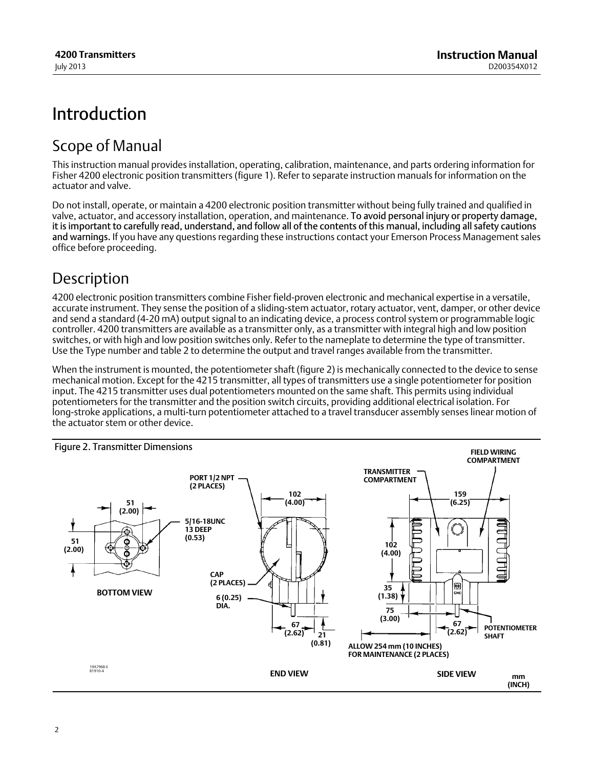# <span id="page-1-0"></span>Introduction

## Scope of Manual

This instruction manual provides installation, operating, calibration, maintenance, and parts ordering information for Fisher 4200 electronic position transmitters (figure [1](#page-0-0)). Refer to separate instruction manuals for information on the actuator and valve.

Do not install, operate, or maintain a 4200 electronic position transmitter without being fully trained and qualified in valve, actuator, and accessory installation, operation, and maintenance. To avoid personal injury or property damage, it is important to carefully read, understand, and follow all of the contents of this manual, including all safety cautions and warnings. If you have any questions regarding these instructions contact your Emerson Process Management sales office before proceeding.

# **Description**

4200 electronic position transmitters combine Fisher field‐proven electronic and mechanical expertise in a versatile, accurate instrument. They sense the position of a sliding‐stem actuator, rotary actuator, vent, damper, or other device and send a standard (4‐20 mA) output signal to an indicating device, a process control system or programmable logic controller. 4200 transmitters are available as a transmitter only, as a transmitter with integral high and low position switches, or with high and low position switches only. Refer to the nameplate to determine the type of transmitter. Use the Type number and table [2](#page-3-0) to determine the output and travel ranges available from the transmitter.

When the instrument is mounted, the potentiometer shaft (figure 2) is mechanically connected to the device to sense mechanical motion. Except for the 4215 transmitter, all types of transmitters use a single potentiometer for position input. The 4215 transmitter uses dual potentiometers mounted on the same shaft. This permits using individual potentiometers for the transmitter and the position switch circuits, providing additional electrical isolation. For long‐stroke applications, a multi‐turn potentiometer attached to a travel transducer assembly senses linear motion of the actuator stem or other device.

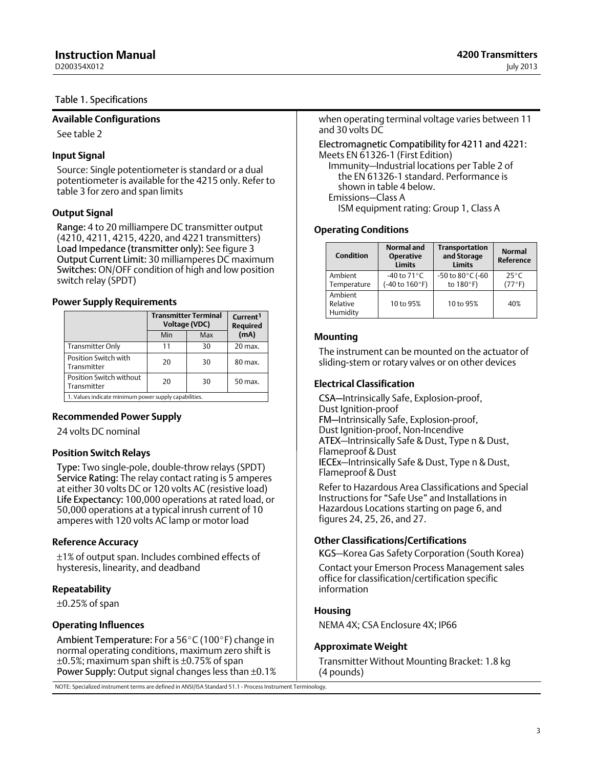<span id="page-2-0"></span>D200354X012

#### Table 1. Specifications

#### **Available Configurations**

See table [2](#page-3-0)

#### **Input Signal**

Source: Single potentiometer is standard or a dual potentiometer is available for the 4215 only. Refer to table [3](#page-3-0) for zero and span limits

#### **Output Signal**

Range: 4 to 20 milliampere DC transmitter output (4210, 4211, 4215, 4220, and 4221 transmitters) Load Impedance (transmitter only): See figure [3](#page-3-0) Output Current Limit: 30 milliamperes DC maximum Switches: ON/OFF condition of high and low position switch relay (SPDT)

#### **Power Supply Requirements**

|                                                       | <b>Transmitter Terminal</b><br><b>Voltage (VDC)</b> | Current <sup>1</sup><br><b>Required</b> |           |
|-------------------------------------------------------|-----------------------------------------------------|-----------------------------------------|-----------|
|                                                       | Min                                                 | (mA)                                    |           |
| Transmitter Only                                      | 11                                                  | 30                                      | $20$ max. |
| Position Switch with<br>Transmitter                   | 20                                                  | 30                                      | $80$ max. |
| Position Switch without<br>Transmitter                | 20<br>30                                            |                                         | 50 max.   |
| 1. Values indicate minimum power supply capabilities. |                                                     |                                         |           |

#### **Recommended Power Supply**

24 volts DC nominal

#### **Position Switch Relays**

Type: Two single‐pole, double‐throw relays (SPDT) Service Rating: The relay contact rating is 5 amperes at either 30 volts DC or 120 volts AC (resistive load) Life Expectancy: 100,000 operations at rated load, or 50,000 operations at a typical inrush current of 10 amperes with 120 volts AC lamp or motor load

#### **Reference Accuracy**

±1% of output span. Includes combined effects of hysteresis, linearity, and deadband

#### **Repeatability**

 $\pm 0.25$ % of span

#### **Operating Influences**

Ambient Temperature: For a 56°C (100°F) change in normal operating conditions, maximum zero shift is  $\pm 0.5$ %; maximum span shift is  $\pm 0.75$ % of span Power Supply: Output signal changes less than ±0.1%

NOTE: Specialized instrument terms are defined in ANSI/ISA Standard 51.1 - Process Instrument Terminology.

when operating terminal voltage varies between 11 and 30 volts DC

#### Electromagnetic Compatibility for 4211 and 4221: Meets EN 61326‐1 (First Edition)

Immunity—Industrial locations per Table 2 of the EN 61326‐1 standard. Performance is shown in table [4](#page-4-0) below. Emissions—Class A

ISM equipment rating: Group 1, Class A

#### **Operating Conditions**

| <b>Condition</b>                | Normal and<br><b>Operative</b><br><b>Limits</b>                   | <b>Transportation</b><br>and Storage<br><b>Limits</b> | <b>Normal</b><br><b>Reference</b> |
|---------------------------------|-------------------------------------------------------------------|-------------------------------------------------------|-----------------------------------|
| Ambient<br>Temperature          | -40 to 71 $\degree$ C<br>$(-40 \text{ to } 160^{\circ} \text{F})$ | -50 to 80°C (-60<br>to 180°F)                         |                                   |
| Ambient<br>Relative<br>Humidity | 10 to 95%                                                         | 10 to 95%                                             | 40%                               |

#### **Mounting**

The instrument can be mounted on the actuator of sliding‐stem or rotary valves or on other devices

#### **Electrical Classification**

CSA—Intrinsically Safe, Explosion-proof, Dust Ignition-proof FM—Intrinsically Safe, Explosion‐proof, Dust Ignition-proof, Non‐Incendive ATEX—Intrinsically Safe & Dust, Type n & Dust, Flameproof & Dust IECEx—Intrinsically Safe & Dust, Type n & Dust, Flameproof & Dust

Refer to Hazardous Area Classifications and Special Instructions for "Safe Use" and Installations in Hazardous Locations starting on page [6,](#page-5-0) and figures [24](#page-47-0), [25](#page-48-0), [26](#page-49-0), and [27](#page-50-0).

#### **Other Classifications/Certifications**

KGS—Korea Gas Safety Corporation (South Korea)

Contact your Emerson Process Management sales office for classification/certification specific information

#### **Housing**

NEMA 4X; CSA Enclosure 4X; IP66

#### **Approximate Weight**

Transmitter Without Mounting Bracket: 1.8 kg (4 pounds)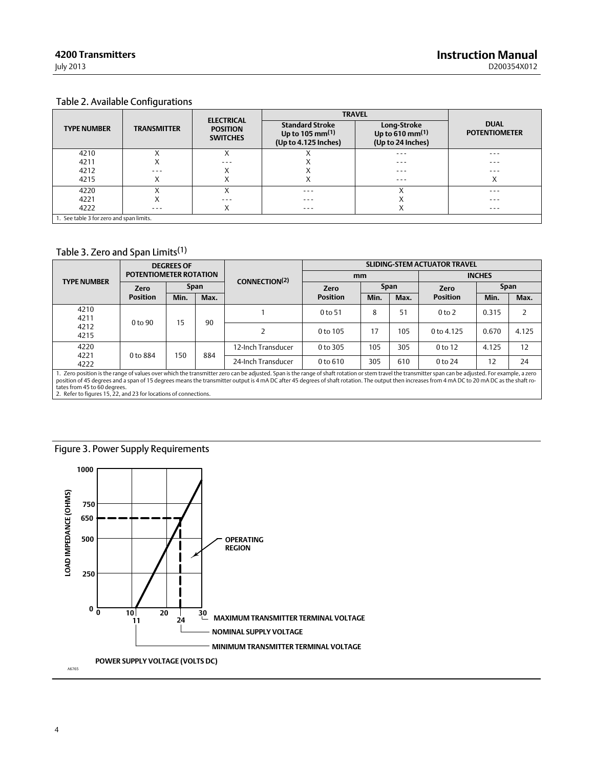## <span id="page-3-0"></span>Table 2. Available Configurations

|                                          |                    |                                                         | <b>TRAVEL</b>                                                                 |                                                               |                                     |
|------------------------------------------|--------------------|---------------------------------------------------------|-------------------------------------------------------------------------------|---------------------------------------------------------------|-------------------------------------|
| <b>TYPE NUMBER</b>                       | <b>TRANSMITTER</b> | <b>ELECTRICAL</b><br><b>POSITION</b><br><b>SWITCHES</b> | <b>Standard Stroke</b><br>Up to 105 mm <sup>(1)</sup><br>(Up to 4.125 Inches) | <b>Long-Stroke</b><br>Up to 610 mm $(1)$<br>(Up to 24 Inches) | <b>DUAL</b><br><b>POTENTIOMETER</b> |
| 4210                                     |                    | ∧                                                       |                                                                               | $- - -$                                                       | $- - -$                             |
| 4211                                     | ⌒                  | $- - -$                                                 |                                                                               | ---                                                           | $- - -$                             |
| 4212                                     | ---                | ∧                                                       |                                                                               | ---                                                           | $- - -$                             |
| 4215                                     | ⌒                  | ∧                                                       | ∧                                                                             | ---                                                           | $\checkmark$<br>∧                   |
| 4220                                     |                    |                                                         | $- - -$                                                                       |                                                               | $- - -$                             |
| 4221                                     | ∧                  | $- - -$                                                 | $- - -$                                                                       |                                                               | $- - -$                             |
| 4222                                     | ---                | $\checkmark$<br>∧                                       | $- - -$                                                                       |                                                               | $- - -$                             |
| 1. See table 3 for zero and span limits. |                    |                                                         |                                                                               |                                                               |                                     |

### Table 3. Zero and Span Limits(1)

|                                                                                                                                                                                                                                                                                                                                                                                                                                                                                                              | <b>DEGREES OF</b><br><b>POTENTIOMETER ROTATION</b> |      |                           | <b>SLIDING-STEM ACTUATOR TRAVEL</b> |                     |             |               |                    |       |             |
|--------------------------------------------------------------------------------------------------------------------------------------------------------------------------------------------------------------------------------------------------------------------------------------------------------------------------------------------------------------------------------------------------------------------------------------------------------------------------------------------------------------|----------------------------------------------------|------|---------------------------|-------------------------------------|---------------------|-------------|---------------|--------------------|-------|-------------|
| <b>TYPE NUMBER</b>                                                                                                                                                                                                                                                                                                                                                                                                                                                                                           |                                                    |      | CONNECTION <sup>(2)</sup> | mm                                  |                     |             | <b>INCHES</b> |                    |       |             |
|                                                                                                                                                                                                                                                                                                                                                                                                                                                                                                              | <b>Zero</b>                                        |      | <b>Span</b>               |                                     | <b>Zero</b>         | <b>Span</b> |               | <b>Zero</b>        |       | <b>Span</b> |
|                                                                                                                                                                                                                                                                                                                                                                                                                                                                                                              | <b>Position</b>                                    | Min. | Max.                      |                                     | <b>Position</b>     | Min.        | Max.          | <b>Position</b>    | Min.  | Max.        |
| 4210<br>4211                                                                                                                                                                                                                                                                                                                                                                                                                                                                                                 | 0 <sub>to</sub> 90                                 |      | 15<br>90                  |                                     | 0 <sub>to</sub> 51  | 8           | 51            | 0 <sub>to</sub> 2  | 0.315 | 2           |
| 4212<br>4215                                                                                                                                                                                                                                                                                                                                                                                                                                                                                                 |                                                    |      |                           |                                     | 0 to 105            | 17          | 105           | $0$ to 4.125       | 0.670 | 4.125       |
| 4220<br>4221                                                                                                                                                                                                                                                                                                                                                                                                                                                                                                 | 0 to 884                                           | 150  |                           | 12-Inch Transducer                  | $0$ to 305          | 105         | 305           | 0 <sub>to</sub> 12 | 4.125 | 12          |
| 4222                                                                                                                                                                                                                                                                                                                                                                                                                                                                                                         |                                                    |      | 884                       | 24-Inch Transducer                  | 0 <sub>to</sub> 610 | 305         | 610           | 0 <sub>to</sub> 24 | 12    | 24          |
| 1. Zero position is the range of values over which the transmitter zero can be adjusted. Span is the range of shaft rotation or stem travel the transmitter span can be adjusted. For example, a zero<br>position of 45 degrees and a span of 15 degrees means the transmitter output is 4 mA DC after 45 degrees of shaft rotation. The output then increases from 4 mA DC to 20 mA DC as the shaft ro-<br>tates from 45 to 60 degrees.<br>2. Refer to figures 15, 22, and 23 for locations of connections. |                                                    |      |                           |                                     |                     |             |               |                    |       |             |

### Figure 3. Power Supply Requirements

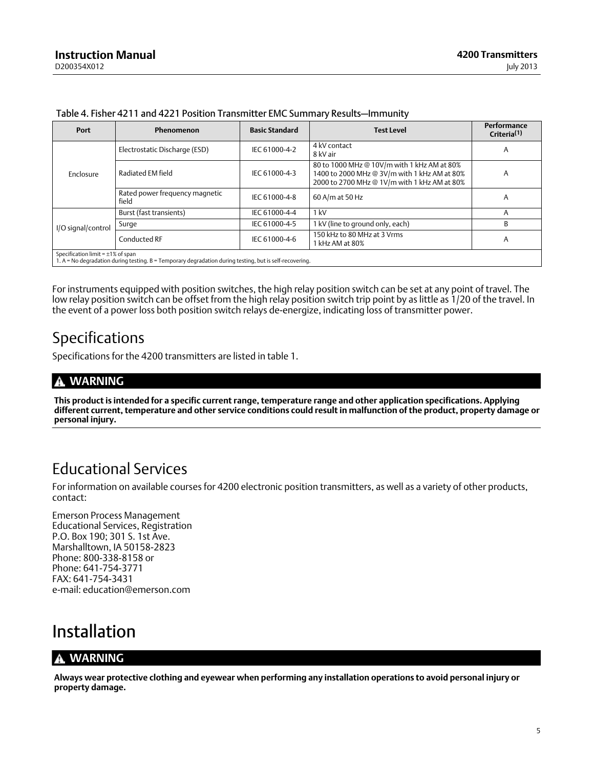| Port                                    | <b>Phenomenon</b>                                                                                       | <b>Basic Standard</b> | <b>Test Level</b>                                                                                                                           | <b>Performance</b><br>Criteria <sup>(1)</sup> |
|-----------------------------------------|---------------------------------------------------------------------------------------------------------|-----------------------|---------------------------------------------------------------------------------------------------------------------------------------------|-----------------------------------------------|
|                                         | Electrostatic Discharge (ESD)                                                                           | IEC 61000-4-2         | 4 kV contact<br>8 kV air                                                                                                                    | $\mathsf{A}$                                  |
| Enclosure                               | Radiated EM field                                                                                       | IEC 61000-4-3         | 80 to 1000 MHz @ 10V/m with 1 kHz AM at 80%<br>1400 to 2000 MHz @ 3V/m with 1 kHz AM at 80%<br>2000 to 2700 MHz @ 1V/m with 1 kHz AM at 80% | A                                             |
|                                         | Rated power frequency magnetic<br>field                                                                 | IEC 61000-4-8         | 60 A/m at 50 Hz                                                                                                                             | A                                             |
|                                         | Burst (fast transients)                                                                                 | IEC 61000-4-4         | 1 kV                                                                                                                                        | Α                                             |
| I/O signal/control                      | Surge                                                                                                   | IEC 61000-4-5         | 1 kV (line to ground only, each)                                                                                                            | B                                             |
|                                         | Conducted RF                                                                                            | IEC 61000-4-6         | 150 kHz to 80 MHz at 3 Vrms<br>1 kHz AM at 80%                                                                                              | A                                             |
| Specification limit = $\pm 1\%$ of span | 1. A = No degradation during testing. B = Temporary degradation during testing, but is self-recovering. |                       |                                                                                                                                             |                                               |

<span id="page-4-0"></span>Table 4. Fisher 4211 and 4221 Position Transmitter EMC Summary Results—Immunity

For instruments equipped with position switches, the high relay position switch can be set at any point of travel. The low relay position switch can be offset from the high relay position switch trip point by as little as 1/20 of the travel. In the event of a power loss both position switch relays de‐energize, indicating loss of transmitter power.

## Specifications

Specifications for the 4200 transmitters are listed in table [1.](#page-2-0)

## **WARNING**

**This product is intended for a specific current range, temperature range and other application specifications. Applying different current, temperature and other service conditions could result in malfunction of the product, property damage or personal injury.**

## Educational Services

For information on available courses for 4200 electronic position transmitters, as well as a variety of other products, contact:

Emerson Process Management Educational Services, Registration P.O. Box 190; 301 S. 1st Ave. Marshalltown, IA 50158-2823 Phone: 800-338-8158 or Phone: 641-754-3771 FAX: 641-754-3431 e‐mail: education@emerson.com

# Installation

## **WARNING**

**Always wear protective clothing and eyewear when performing any installation operations to avoid personal injury or property damage.**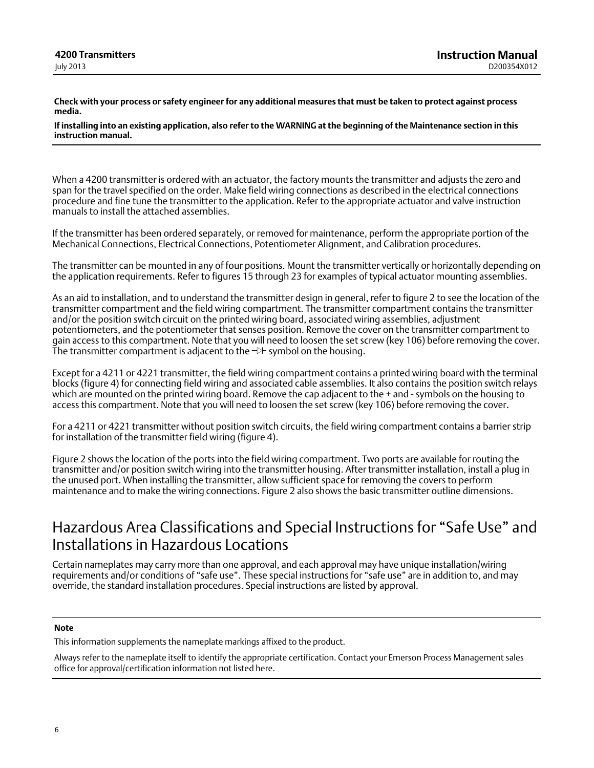<span id="page-5-0"></span>**Check with your process or safety engineer for any additional measures that must be taken to protect against process media.**

**If installing into an existing application, also refer to the WARNING at the beginning of the Maintenance section in this instruction manual.**

When a 4200 transmitter is ordered with an actuator, the factory mounts the transmitter and adjusts the zero and span for the travel specified on the order. Make field wiring connections as described in the electrical connections procedure and fine tune the transmitter to the application. Refer to the appropriate actuator and valve instruction manuals to install the attached assemblies.

If the transmitter has been ordered separately, or removed for maintenance, perform the appropriate portion of the Mechanical Connections, Electrical Connections, Potentiometer Alignment, and Calibration procedures.

The transmitter can be mounted in any of four positions. Mount the transmitter vertically or horizontally depending on the application requirements. Refer to figures [15](#page-36-0) through [23](#page-45-0) for examples of typical actuator mounting assemblies.

As an aid to installation, and to understand the transmitter design in general, refer to figure [2](#page-1-0) to see the location of the transmitter compartment and the field wiring compartment. The transmitter compartment contains the transmitter and/or the position switch circuit on the printed wiring board, associated wiring assemblies, adjustment potentiometers, and the potentiometer that senses position. Remove the cover on the transmitter compartment to gain access to this compartment. Note that you will need to loosen the set screw (key 106) before removing the cover. The transmitter compartment is adjacent to the  $\neg\uparrow$  symbol on the housing.

Except for a 4211 or 4221 transmitter, the field wiring compartment contains a printed wiring board with the terminal blocks (figure [4\)](#page-13-0) for connecting field wiring and associated cable assemblies. It also contains the position switch relays which are mounted on the printed wiring board. Remove the cap adjacent to the + and - symbols on the housing to access this compartment. Note that you will need to loosen the set screw (key 106) before removing the cover.

For a 4211 or 4221 transmitter without position switch circuits, the field wiring compartment contains a barrier strip for installation of the transmitter field wiring (figure [4\)](#page-13-0).

Figure [2](#page-1-0) shows the location of the ports into the field wiring compartment. Two ports are available for routing the transmitter and/or position switch wiring into the transmitter housing. After transmitter installation, install a plug in the unused port. When installing the transmitter, allow sufficient space for removing the covers to perform maintenance and to make the wiring connections. Figure [2](#page-1-0) also shows the basic transmitter outline dimensions.

## Hazardous Area Classifications and Special Instructions for "Safe Use" and Installations in Hazardous Locations

Certain nameplates may carry more than one approval, and each approval may have unique installation/wiring requirements and/or conditions of "safe use". These special instructions for "safe use" are in addition to, and may override, the standard installation procedures. Special instructions are listed by approval.

#### **Note**

This information supplements the nameplate markings affixed to the product.

Always refer to the nameplate itself to identify the appropriate certification. Contact your Emerson Process Management sales office for approval/certification information not listed here.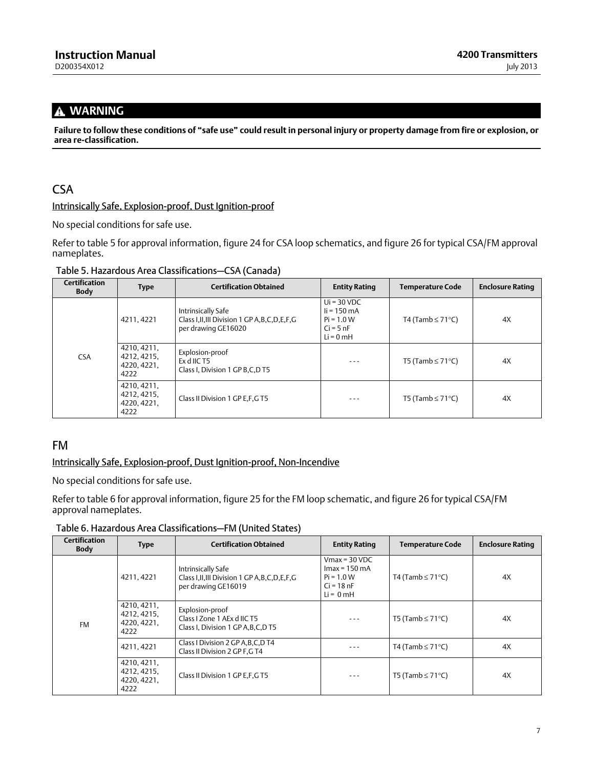## <span id="page-6-0"></span> **WARNING**

**Failure to follow these conditions of "safe use" could result in personal injury or property damage from fire or explosion, or area re‐classification.**

## **CSA**

#### Intrinsically Safe, Explosion-proof, Dust Ignition-proof

No special conditions for safe use.

Refer to table 5 for approval information, figure [24](#page-47-0) for CSA loop schematics, and figure [26](#page-49-0) for typical CSA/FM approval nameplates.

| Table 5. Hazardous Area Classifications-CSA (Canada) |  |
|------------------------------------------------------|--|
|------------------------------------------------------|--|

| <b>Certification</b><br><b>Body</b> | <b>Type</b>                                       | <b>Certification Obtained</b>                                                                   | <b>Entity Rating</b>                                                                  | <b>Temperature Code</b> | <b>Enclosure Rating</b> |
|-------------------------------------|---------------------------------------------------|-------------------------------------------------------------------------------------------------|---------------------------------------------------------------------------------------|-------------------------|-------------------------|
| <b>CSA</b>                          | 4211, 4221                                        | Intrinsically Safe<br>Class I, II, III Division 1 GP A, B, C, D, E, F, G<br>per drawing GE16020 | $Ui = 30 VDC$<br>$\mathsf{li}$ = 150 mA<br>$Pi = 1.0 W$<br>$Ci = 5 nF$<br>$Li = 0$ mH | T4 (Tamb $\leq$ 71°C)   | 4X                      |
|                                     | 4210, 4211,<br>4212, 4215.<br>4220, 4221,<br>4222 | Explosion-proof<br>Ex d IIC T5<br>Class I, Division 1 GP B, C, D T5                             | ---                                                                                   | T5 (Tamb $\leq$ 71°C)   | 4X                      |
|                                     | 4210, 4211,<br>4212, 4215,<br>4220, 4221.<br>4222 | Class II Division 1 GP E.F.G T5                                                                 | ---                                                                                   | T5 (Tamb $\leq$ 71°C)   | 4X                      |

### FM

#### Intrinsically Safe, Explosion-proof, Dust Ignition-proof, Non‐Incendive

No special conditions for safe use.

Refer to table 6 for approval information, figure [25](#page-48-0) for the FM loop schematic, and figure [26](#page-49-0) for typical CSA/FM approval nameplates.

Table 6. Hazardous Area Classifications—FM (United States)

| <b>Certification</b><br><b>Body</b> | <b>Type</b>                                       | <b>Certification Obtained</b>                                                                   | <b>Entity Rating</b>                                                               | <b>Temperature Code</b> | <b>Enclosure Rating</b> |
|-------------------------------------|---------------------------------------------------|-------------------------------------------------------------------------------------------------|------------------------------------------------------------------------------------|-------------------------|-------------------------|
| <b>FM</b>                           | 4211, 4221                                        | Intrinsically Safe<br>Class I, II, III Division 1 GP A, B, C, D, E, F, G<br>per drawing GE16019 | $V$ max = 30 VDC<br>$Imax = 150$ mA<br>$Pi = 1.0 W$<br>$Ci = 18 nF$<br>$Li = 0 mH$ | T4 (Tamb $\leq$ 71°C)   | 4X                      |
|                                     | 4210, 4211,<br>4212, 4215,<br>4220, 4221,<br>4222 | Explosion-proof<br>Class I Zone 1 AEx d IIC T5<br>Class I, Division 1 GP A, B, C, D T5          | $- - -$                                                                            | T5 (Tamb $\leq$ 71°C)   | 4X                      |
|                                     | 4211, 4221                                        | Class I Division 2 GP A, B, C, D T4<br>Class II Division 2 GP F, GT4                            | $- - -$                                                                            | T4 (Tamb $\leq$ 71°C)   | 4X                      |
|                                     | 4210, 4211,<br>4212, 4215,<br>4220, 4221,<br>4222 | Class II Division 1 GP E, F, G T5                                                               | $- - -$                                                                            | T5 (Tamb $\leq$ 71°C)   | 4X                      |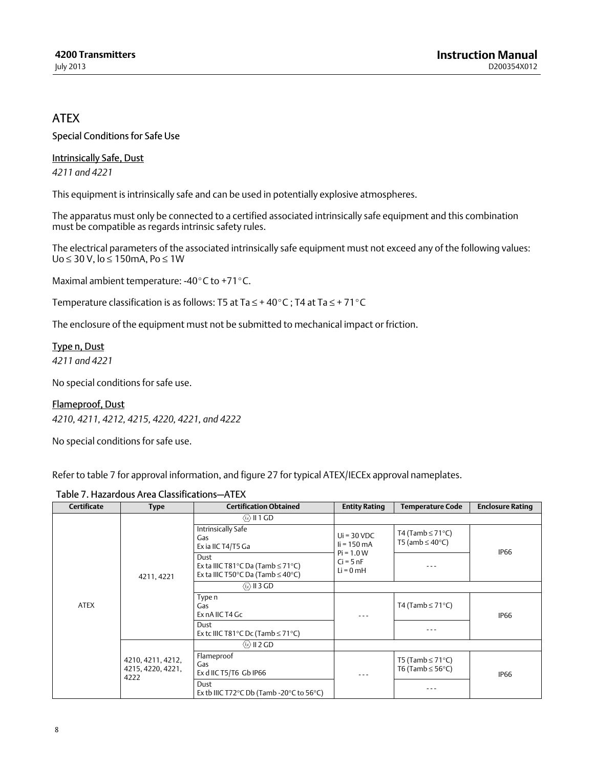## <span id="page-7-0"></span>**ATFX**

Special Conditions for Safe Use

Intrinsically Safe, Dust *4211 and 4221*

This equipment is intrinsically safe and can be used in potentially explosive atmospheres.

The apparatus must only be connected to a certified associated intrinsically safe equipment and this combination must be compatible as regards intrinsic safety rules.

The electrical parameters of the associated intrinsically safe equipment must not exceed any of the following values: Uo ≤ 30 V, lo ≤ 150mA, Po ≤ 1W

Maximal ambient temperature: -40 $\degree$ C to +71 $\degree$ C.

Temperature classification is as follows: T5 at Ta  $\leq$  + 40°C; T4 at Ta  $\leq$  + 71°C

The enclosure of the equipment must not be submitted to mechanical impact or friction.

Type n, Dust *4211 and 4221*

No special conditions for safe use.

Flameproof, Dust *4210, 4211, 4212, 4215, 4220, 4221, and 4222*

No special conditions for safe use.

Refer to table 7 for approval information, and figure [27](#page-50-0) for typical ATEX/IECEx approval nameplates.

| Table 7. Hazardous Area Classifications-ATEX |  |
|----------------------------------------------|--|
|----------------------------------------------|--|

| <b>Certificate</b> | <b>Type</b>                                    | <b>Certification Obtained</b>                                                                                                      | <b>Entity Rating</b>                       | <b>Temperature Code</b>                               | <b>Enclosure Rating</b> |
|--------------------|------------------------------------------------|------------------------------------------------------------------------------------------------------------------------------------|--------------------------------------------|-------------------------------------------------------|-------------------------|
|                    |                                                | $\langle \infty \rangle$ II 1 GD                                                                                                   |                                            |                                                       |                         |
| <b>ATEX</b>        | 4211, 4221                                     | Intrinsically Safe<br>Gas<br>Ex ia IIC T4/T5 Ga                                                                                    | $Ui = 30 VDC$<br>$I = 150$ mA              | T4 (Tamb $\leq$ 71°C)<br>T5 (amb $\leq 40^{\circ}$ C) | <b>IP66</b>             |
|                    |                                                | Dust<br>Ex ta IIIC T81 $^{\circ}$ C Da (Tamb $\leq$ 71 $^{\circ}$ C)<br>Ex ta IIIC T50 $\degree$ C Da (Tamb $\leq$ 40 $\degree$ C) | $Pi = 1.0 W$<br>$Ci = 5 nF$<br>$Li = 0$ mH |                                                       |                         |
|                    |                                                | $\langle \widehat{\alpha} \rangle$ II 3 GD                                                                                         |                                            |                                                       |                         |
|                    |                                                | Type n<br>Gas<br>Ex nA IIC T4 Gc                                                                                                   | ---                                        | T4 (Tamb $\leq$ 71°C)                                 | <b>IP66</b>             |
|                    |                                                | Dust<br>Ex tc IIIC T81°C Dc (Tamb $\leq$ 71°C)                                                                                     |                                            |                                                       |                         |
|                    | 4210, 4211, 4212,<br>4215, 4220, 4221,<br>4222 | $\langle \omega \rangle$ II 2 GD                                                                                                   |                                            |                                                       |                         |
|                    |                                                | Flameproof<br>Gas<br>Ex d IIC T5/T6 Gb IP66                                                                                        | ---                                        | T5 (Tamb $\leq$ 71°C)<br>T6 (Tamb $\leq$ 56°C)        | <b>IP66</b>             |
|                    |                                                | Dust<br>Ex tb IIIC T72 $\degree$ C Db (Tamb -20 $\degree$ C to 56 $\degree$ C)                                                     |                                            |                                                       |                         |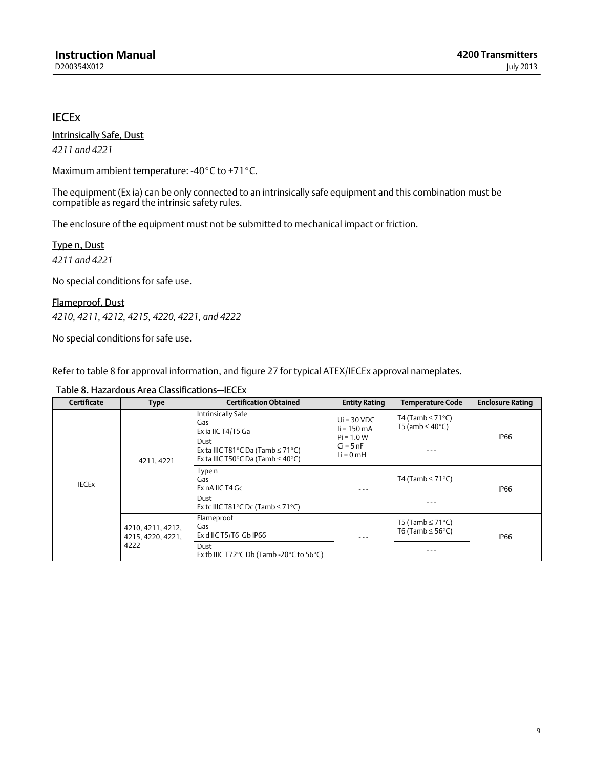## <span id="page-8-0"></span>**IECE<sub>x</sub>**

Intrinsically Safe, Dust *4211 and 4221*

Maximum ambient temperature: -40°C to +71°C.

The equipment (Ex ia) can be only connected to an intrinsically safe equipment and this combination must be compatible as regard the intrinsic safety rules.

The enclosure of the equipment must not be submitted to mechanical impact or friction.

Type n, Dust *4211 and 4221*

No special conditions for safe use.

Flameproof, Dust *4210, 4211, 4212, 4215, 4220, 4221, and 4222*

No special conditions for safe use.

Refer to table 8 for approval information, and figure [27](#page-50-0) for typical ATEX/IECEx approval nameplates.

| <b>Certificate</b> | <b>Type</b>                                    | <b>Certification Obtained</b>                                                                                  | <b>Entity Rating</b>                                                                | <b>Temperature Code</b>                               | <b>Enclosure Rating</b> |
|--------------------|------------------------------------------------|----------------------------------------------------------------------------------------------------------------|-------------------------------------------------------------------------------------|-------------------------------------------------------|-------------------------|
| <b>IECEX</b>       | 4211, 4221                                     | Intrinsically Safe<br>Gas<br>Ex ia IIC T4/T5 Ga                                                                | $Ui = 30 VDC$<br>$i = 150 \text{ mA}$<br>$Pi = 1.0 W$<br>$Ci = 5 nF$<br>$Li = 0$ mH | T4 (Tamb $\leq$ 71°C)<br>T5 (amb $\leq 40^{\circ}$ C) | <b>IP66</b>             |
|                    |                                                | Dust<br>Ex ta IIIC T81°C Da (Tamb $\leq$ 71°C)<br>Ex ta IIIC T50 $^{\circ}$ C Da (Tamb $\leq$ 40 $^{\circ}$ C) |                                                                                     | ---                                                   |                         |
|                    |                                                | Type n<br>Gas<br>Ex nA IIC T4 Gc                                                                               |                                                                                     | T4 (Tamb $\leq$ 71°C)                                 | <b>IP66</b>             |
|                    |                                                | Dust<br>Ex tc IIIC T81°C Dc (Tamb $\leq$ 71°C)                                                                 |                                                                                     |                                                       |                         |
|                    | 4210, 4211, 4212,<br>4215, 4220, 4221,<br>4222 | Flameproof<br>Gas<br>Ex d IIC T5/T6 Gb IP66                                                                    |                                                                                     | T5 (Tamb $\leq$ 71°C)<br>T6 (Tamb $\leq$ 56°C)        | <b>IP66</b>             |
|                    |                                                | Dust<br>Ex tb IIIC T72 $\degree$ C Db (Tamb -20 $\degree$ C to 56 $\degree$ C)                                 |                                                                                     |                                                       |                         |

Table 8. Hazardous Area Classifications—IECEx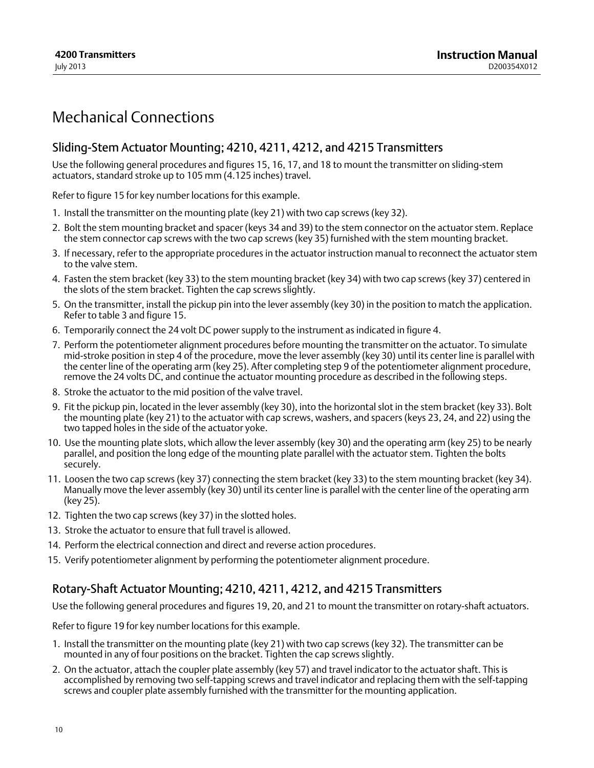## <span id="page-9-0"></span>Mechanical Connections

## Sliding‐Stem Actuator Mounting; 4210, 4211, 4212, and 4215 Transmitters

Use the following general procedures and figures [15,](#page-36-0) [16](#page-38-0), [17](#page-39-0), and [18](#page-40-0) to mount the transmitter on sliding‐stem actuators, standard stroke up to 105 mm (4.125 inches) travel.

Refer to figure [15](#page-36-0) for key number locations for this example.

- 1. Install the transmitter on the mounting plate (key 21) with two cap screws (key 32).
- 2. Bolt the stem mounting bracket and spacer (keys 34 and 39) to the stem connector on the actuator stem. Replace the stem connector cap screws with the two cap screws (key 35) furnished with the stem mounting bracket.
- 3. If necessary, refer to the appropriate procedures in the actuator instruction manual to reconnect the actuator stem to the valve stem.
- 4. Fasten the stem bracket (key 33) to the stem mounting bracket (key 34) with two cap screws (key 37) centered in the slots of the stem bracket. Tighten the cap screws slightly.
- 5. On the transmitter, install the pickup pin into the lever assembly (key 30) in the position to match the application. Refer to table [3](#page-3-0) and figure [15](#page-36-0).
- 6. Temporarily connect the 24 volt DC power supply to the instrument as indicated in figure [4](#page-13-0).
- 7. Perform the potentiometer alignment procedures before mounting the transmitter on the actuator. To simulate mid‐stroke position in step [4](#page-15-0) of the procedure, move the lever assembly (key 30) until its center line is parallel with the center line of the operating arm (key 25). After completing step [9](#page-16-0) of the potentiometer alignment procedure, remove the 24 volts DC, and continue the actuator mounting procedure as described in the following steps.
- 8. Stroke the actuator to the mid position of the valve travel.
- 9. Fit the pickup pin, located in the lever assembly (key 30), into the horizontal slot in the stem bracket (key 33). Bolt the mounting plate (key 21) to the actuator with cap screws, washers, and spacers (keys 23, 24, and 22) using the two tapped holes in the side of the actuator yoke.
- 10. Use the mounting plate slots, which allow the lever assembly (key 30) and the operating arm (key 25) to be nearly parallel, and position the long edge of the mounting plate parallel with the actuator stem. Tighten the bolts securely.
- 11. Loosen the two cap screws (key 37) connecting the stem bracket (key 33) to the stem mounting bracket (key 34). Manually move the lever assembly (key 30) until its center line is parallel with the center line of the operating arm (key 25).
- 12. Tighten the two cap screws (key 37) in the slotted holes.
- 13. Stroke the actuator to ensure that full travel is allowed.
- 14. Perform the electrical connection and direct and reverse action procedures.
- 15. Verify potentiometer alignment by performing the potentiometer alignment procedure.

## Rotary‐Shaft Actuator Mounting; 4210, 4211, 4212, and 4215 Transmitters

Use the following general procedures and figures [19,](#page-41-0) [20](#page-42-0), and [21](#page-42-0) to mount the transmitter on rotary‐shaft actuators.

Refer to figure [19](#page-41-0) for key number locations for this example.

- 1. Install the transmitter on the mounting plate (key 21) with two cap screws (key 32). The transmitter can be mounted in any of four positions on the bracket. Tighten the cap screws slightly.
- 2. On the actuator, attach the coupler plate assembly (key 57) and travel indicator to the actuator shaft. This is accomplished by removing two self‐tapping screws and travel indicator and replacing them with the self‐tapping screws and coupler plate assembly furnished with the transmitter for the mounting application.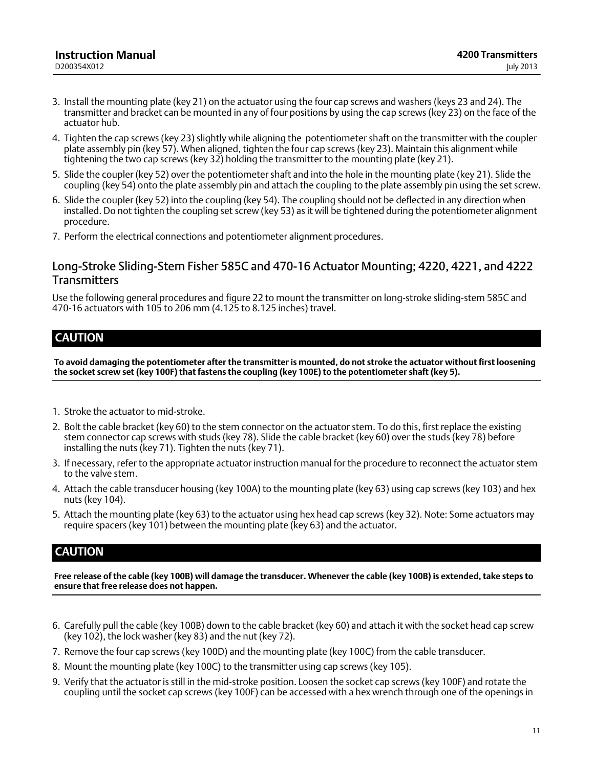- <span id="page-10-0"></span>3. Install the mounting plate (key 21) on the actuator using the four cap screws and washers (keys 23 and 24). The transmitter and bracket can be mounted in any of four positions by using the cap screws (key 23) on the face of the actuator hub.
- 4. Tighten the cap screws (key 23) slightly while aligning the potentiometer shaft on the transmitter with the coupler plate assembly pin (key 57). When aligned, tighten the four cap screws (key 23). Maintain this alignment while tightening the two cap screws (key 32) holding the transmitter to the mounting plate (key 21).
- 5. Slide the coupler (key 52) over the potentiometer shaft and into the hole in the mounting plate (key 21). Slide the coupling (key 54) onto the plate assembly pin and attach the coupling to the plate assembly pin using the set screw.
- 6. Slide the coupler (key 52) into the coupling (key 54). The coupling should not be deflected in any direction when installed. Do not tighten the coupling set screw (key 53) as it will be tightened during the potentiometer alignment procedure.
- 7. Perform the electrical connections and potentiometer alignment procedures.

## Long‐Stroke Sliding‐Stem Fisher 585C and 470‐16 Actuator Mounting; 4220, 4221, and 4222 **Transmitters**

Use the following general procedures and figure [22](#page-43-0) to mount the transmitter on long‐stroke sliding‐stem 585C and 470‐16 actuators with 105 to 206 mm (4.125 to 8.125 inches) travel.

## **CAUTION**

**To avoid damaging the potentiometer after the transmitter is mounted, do not stroke the actuator without first loosening the socket screw set (key 100F) that fastens the coupling (key 100E) to the potentiometer shaft (key 5).**

- 1. Stroke the actuator to mid‐stroke.
- 2. Bolt the cable bracket (key 60) to the stem connector on the actuator stem. To do this, first replace the existing stem connector cap screws with studs (key 78). Slide the cable bracket (key 60) over the studs (key 78) before installing the nuts (key 71). Tighten the nuts (key 71).
- 3. If necessary, refer to the appropriate actuator instruction manual for the procedure to reconnect the actuator stem to the valve stem.
- 4. Attach the cable transducer housing (key 100A) to the mounting plate (key 63) using cap screws (key 103) and hex nuts (key 104).
- 5. Attach the mounting plate (key 63) to the actuator using hex head cap screws (key 32). Note: Some actuators may require spacers (key 101) between the mounting plate (key 63) and the actuator.

## **CAUTION**

**Free release of the cable (key 100B) will damage the transducer. Whenever the cable (key 100B) is extended, take steps to ensure that free release does not happen.**

- 6. Carefully pull the cable (key 100B) down to the cable bracket (key 60) and attach it with the socket head cap screw (key 102), the lock washer (key 83) and the nut (key 72).
- 7. Remove the four cap screws (key 100D) and the mounting plate (key 100C) from the cable transducer.
- 8. Mount the mounting plate (key 100C) to the transmitter using cap screws (key 105).
- 9. Verify that the actuator is still in the mid‐stroke position. Loosen the socket cap screws (key 100F) and rotate the coupling until the socket cap screws (key 100F) can be accessed with a hex wrench through one of the openings in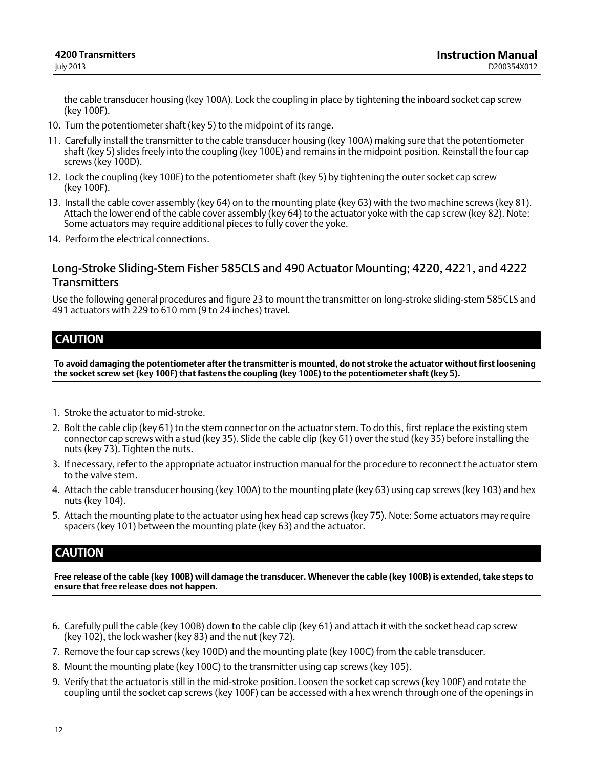<span id="page-11-0"></span>the cable transducer housing (key 100A). Lock the coupling in place by tightening the inboard socket cap screw (key 100F).

- 10. Turn the potentiometer shaft (key 5) to the midpoint of its range.
- 11. Carefully install the transmitter to the cable transducer housing (key 100A) making sure that the potentiometer shaft (key 5) slides freely into the coupling (key 100E) and remains in the midpoint position. Reinstall the four cap screws (key 100D).
- 12. Lock the coupling (key 100E) to the potentiometer shaft (key 5) by tightening the outer socket cap screw (key 100F).
- 13. Install the cable cover assembly (key 64) on to the mounting plate (key 63) with the two machine screws (key 81). Attach the lower end of the cable cover assembly (key 64) to the actuator yoke with the cap screw (key 82). Note: Some actuators may require additional pieces to fully cover the yoke.
- 14. Perform the electrical connections.

## Long‐Stroke Sliding‐Stem Fisher 585CLS and 490 Actuator Mounting; 4220, 4221, and 4222 **Transmitters**

Use the following general procedures and figure [23](#page-45-0) to mount the transmitter on long‐stroke sliding‐stem 585CLS and 491 actuators with 229 to 610 mm (9 to 24 inches) travel.

## **CAUTION**

**To avoid damaging the potentiometer after the transmitter is mounted, do not stroke the actuator without first loosening the socket screw set (key 100F) that fastens the coupling (key 100E) to the potentiometer shaft (key 5).**

- 1. Stroke the actuator to mid‐stroke.
- 2. Bolt the cable clip (key 61) to the stem connector on the actuator stem. To do this, first replace the existing stem connector cap screws with a stud (key 35). Slide the cable clip (key 61) over the stud (key 35) before installing the nuts (key 73). Tighten the nuts.
- 3. If necessary, refer to the appropriate actuator instruction manual for the procedure to reconnect the actuator stem to the valve stem.
- 4. Attach the cable transducer housing (key 100A) to the mounting plate (key 63) using cap screws (key 103) and hex nuts (key 104).
- 5. Attach the mounting plate to the actuator using hex head cap screws (key 75). Note: Some actuators may require spacers (key 101) between the mounting plate (key 63) and the actuator.

## **CAUTION**

**Free release of the cable (key 100B) will damage the transducer. Whenever the cable (key 100B) is extended, take steps to ensure that free release does not happen.**

- 6. Carefully pull the cable (key 100B) down to the cable clip (key 61) and attach it with the socket head cap screw (key 102), the lock washer (key 83) and the nut (key 72).
- 7. Remove the four cap screws (key 100D) and the mounting plate (key 100C) from the cable transducer.
- 8. Mount the mounting plate (key 100C) to the transmitter using cap screws (key 105).
- 9. Verify that the actuator is still in the mid‐stroke position. Loosen the socket cap screws (key 100F) and rotate the coupling until the socket cap screws (key 100F) can be accessed with a hex wrench through one of the openings in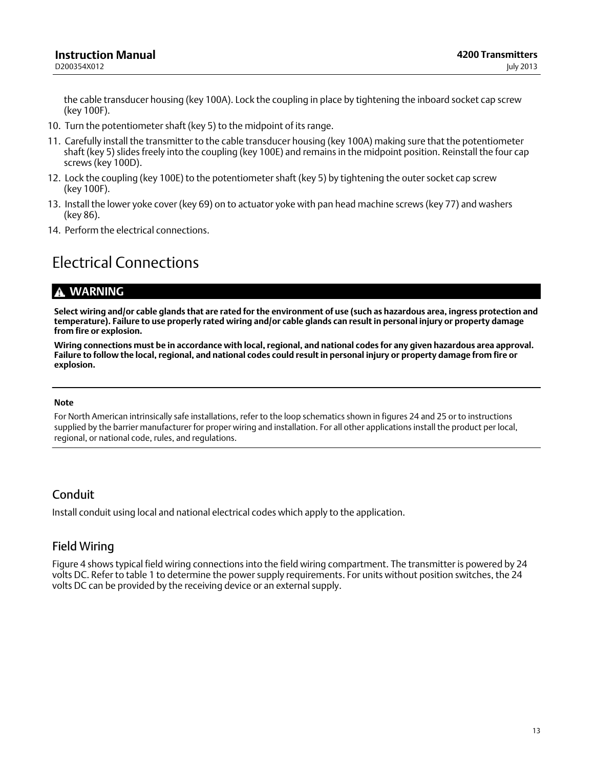<span id="page-12-0"></span>the cable transducer housing (key 100A). Lock the coupling in place by tightening the inboard socket cap screw (key 100F).

- 10. Turn the potentiometer shaft (key 5) to the midpoint of its range.
- 11. Carefully install the transmitter to the cable transducer housing (key 100A) making sure that the potentiometer shaft (key 5) slides freely into the coupling (key 100E) and remains in the midpoint position. Reinstall the four cap screws (key 100D).
- 12. Lock the coupling (key 100E) to the potentiometer shaft (key 5) by tightening the outer socket cap screw (key 100F).
- 13. Install the lower yoke cover (key 69) on to actuator yoke with pan head machine screws (key 77) and washers (key 86).
- 14. Perform the electrical connections.

## Electrical Connections

## **WARNING**

**Select wiring and/or cable glands that are rated for the environment of use (such as hazardous area, ingress protection and temperature). Failure to use properly rated wiring and/or cable glands can result in personal injury or property damage from fire or explosion.**

**Wiring connections must be in accordance with local, regional, and national codes for any given hazardous area approval. Failure to follow the local, regional, and national codes could result in personal injury or property damage from fire or explosion.**

#### **Note**

For North American intrinsically safe installations, refer to the loop schematics shown in figures [24](#page-47-0) and [25](#page-48-0) or to instructions supplied by the barrier manufacturer for proper wiring and installation. For all other applications install the product per local, regional, or national code, rules, and regulations.

## Conduit

Install conduit using local and national electrical codes which apply to the application.

## Field Wiring

Figure [4](#page-13-0) shows typical field wiring connections into the field wiring compartment. The transmitter is powered by 24 volts DC. Refer to table [1](#page-2-0) to determine the power supply requirements. For units without position switches, the 24 volts DC can be provided by the receiving device or an external supply.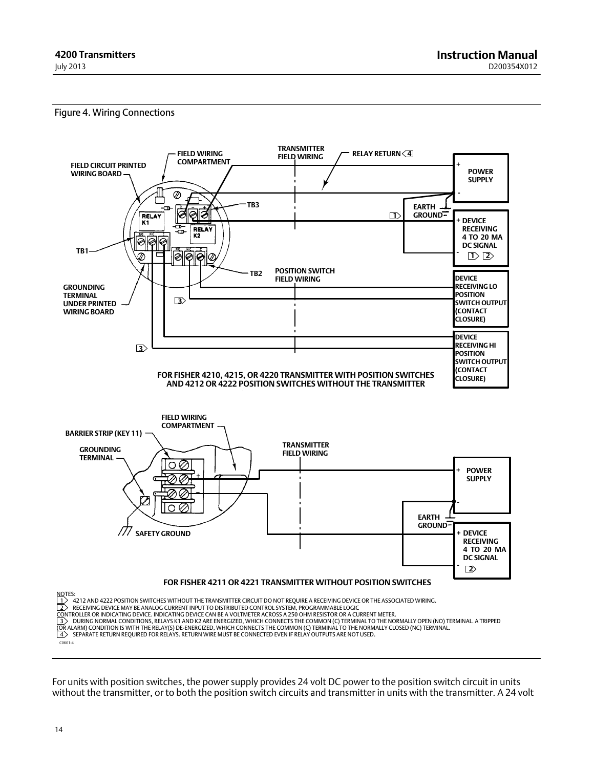#### <span id="page-13-0"></span>Figure 4. Wiring Connections



For units with position switches, the power supply provides 24 volt DC power to the position switch circuit in units without the transmitter, or to both the position switch circuits and transmitter in units with the transmitter. A 24 volt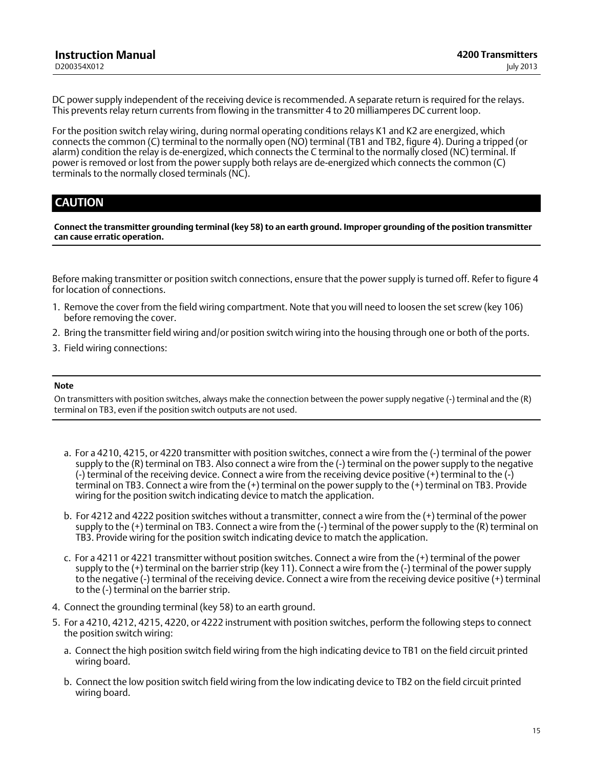DC power supply independent of the receiving device is recommended. A separate return is required for the relays. This prevents relay return currents from flowing in the transmitter 4 to 20 milliamperes DC current loop.

For the position switch relay wiring, during normal operating conditions relays K1 and K2 are energized, which connects the common (C) terminal to the normally open (NO) terminal (TB1 and TB2, figure [4\)](#page-13-0). During a tripped (or alarm) condition the relay is de‐energized, which connects the C terminal to the normally closed (NC) terminal. If power is removed or lost from the power supply both relays are de‐energized which connects the common (C) terminals to the normally closed terminals (NC).

## **CAUTION**

**Connect the transmitter grounding terminal (key 58) to an earth ground. Improper grounding of the position transmitter can cause erratic operation.**

Before making transmitter or position switch connections, ensure that the power supply is turned off. Refer to figure [4](#page-13-0) for location of connections.

- 1. Remove the cover from the field wiring compartment. Note that you will need to loosen the set screw (key 106) before removing the cover.
- 2. Bring the transmitter field wiring and/or position switch wiring into the housing through one or both of the ports.
- 3. Field wiring connections:

#### **Note**

On transmitters with position switches, always make the connection between the power supply negative (-) terminal and the (R) terminal on TB3, even if the position switch outputs are not used.

- a. For a 4210, 4215, or 4220 transmitter with position switches, connect a wire from the (-) terminal of the power supply to the (R) terminal on TB3. Also connect a wire from the (-) terminal on the power supply to the negative (-) terminal of the receiving device. Connect a wire from the receiving device positive (+) terminal to the (-) terminal on TB3. Connect a wire from the (+) terminal on the power supply to the (+) terminal on TB3. Provide wiring for the position switch indicating device to match the application.
- b. For 4212 and 4222 position switches without a transmitter, connect a wire from the (+) terminal of the power supply to the  $(+)$  terminal on TB3. Connect a wire from the  $(-)$  terminal of the power supply to the  $(R)$  terminal on TB3. Provide wiring for the position switch indicating device to match the application.
- c. For a 4211 or 4221 transmitter without position switches. Connect a wire from the (+) terminal of the power supply to the (+) terminal on the barrier strip (key 11). Connect a wire from the (-) terminal of the power supply to the negative (-) terminal of the receiving device. Connect a wire from the receiving device positive (+) terminal to the (-) terminal on the barrier strip.
- 4. Connect the grounding terminal (key 58) to an earth ground.
- 5. For a 4210, 4212, 4215, 4220, or 4222 instrument with position switches, perform the following steps to connect the position switch wiring:
	- a. Connect the high position switch field wiring from the high indicating device to TB1 on the field circuit printed wiring board.
	- b. Connect the low position switch field wiring from the low indicating device to TB2 on the field circuit printed wiring board.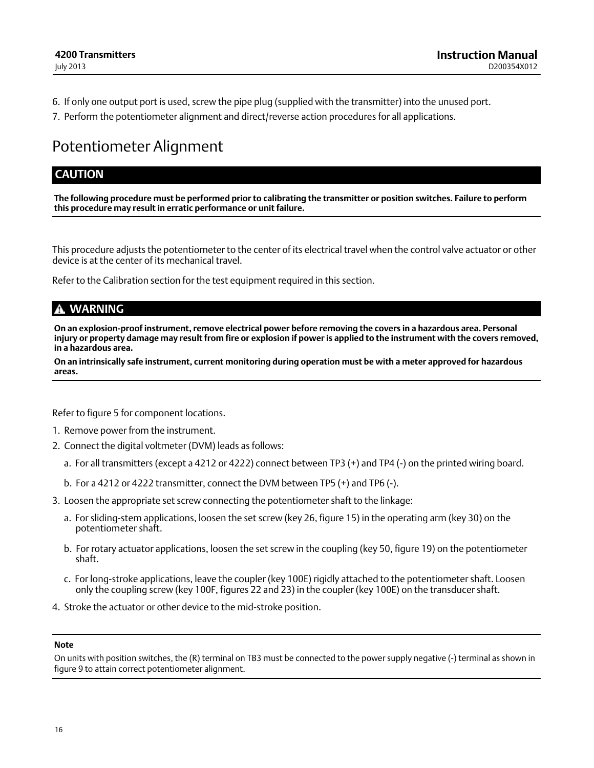- <span id="page-15-0"></span>6. If only one output port is used, screw the pipe plug (supplied with the transmitter) into the unused port.
- 7. Perform the potentiometer alignment and direct/reverse action procedures for all applications.

## Potentiometer Alignment

## **CAUTION**

**The following procedure must be performed prior to calibrating the transmitter or position switches. Failure to perform this procedure may result in erratic performance or unit failure.**

This procedure adjusts the potentiometer to the center of its electrical travel when the control valve actuator or other device is at the center of its mechanical travel.

Refer to the Calibration section for the test equipment required in this section.

### **WARNING**

**On an explosion‐proof instrument, remove electrical power before removing the covers in a hazardous area. Personal injury or property damage may result from fire or explosion if power is applied to the instrument with the covers removed, in a hazardous area.**

**On an intrinsically safe instrument, current monitoring during operation must be with a meter approved for hazardous areas.**

Refer to figure [5](#page-16-0) for component locations.

- 1. Remove power from the instrument.
- 2. Connect the digital voltmeter (DVM) leads as follows:
	- a. For all transmitters (except a 4212 or 4222) connect between TP3 (+) and TP4 (-) on the printed wiring board.
	- b. For a 4212 or 4222 transmitter, connect the DVM between TP5 (+) and TP6 (-).
- 3. Loosen the appropriate set screw connecting the potentiometer shaft to the linkage:
	- a. For sliding‐stem applications, loosen the set screw (key 26, figure [15\)](#page-36-0) in the operating arm (key 30) on the potentiometer shaft.
	- b. For rotary actuator applications, loosen the set screw in the coupling (key 50, figure [19](#page-41-0)) on the potentiometer shaft.
	- c. For long‐stroke applications, leave the coupler (key 100E) rigidly attached to the potentiometer shaft. Loosen only the coupling screw (key 100F, figures [22](#page-43-0) and [23\)](#page-45-0) in the coupler (key 100E) on the transducer shaft.
- 4. Stroke the actuator or other device to the mid‐stroke position.

#### **Note**

On units with position switches, the (R) terminal on TB3 must be connected to the power supply negative (-) terminal as shown in figure [9](#page-25-0) to attain correct potentiometer alignment.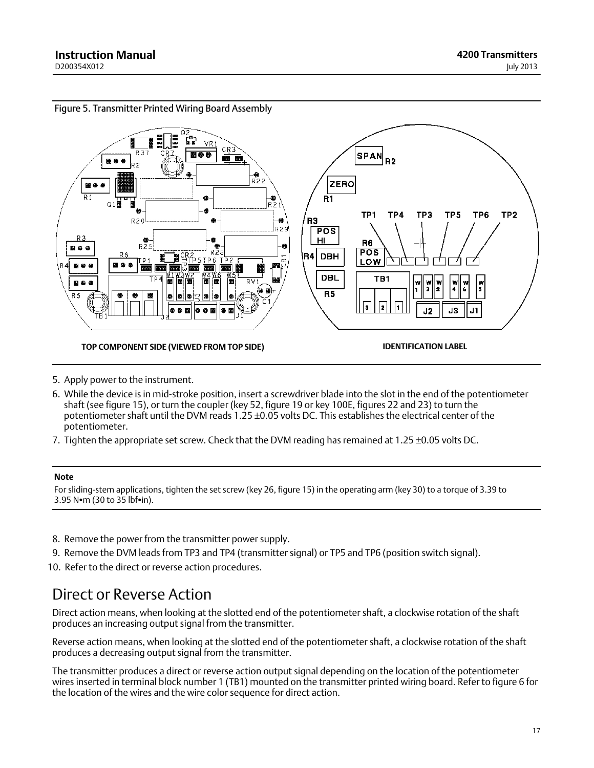<span id="page-16-0"></span>



- 5. Apply power to the instrument.
- 6. While the device is in mid‐stroke position, insert a screwdriver blade into the slot in the end of the potentiometer shaft (see figure [15](#page-36-0)), or turn the coupler (key 52, figure [19](#page-41-0) or key 100E, figures [22](#page-43-0) and [23\)](#page-45-0) to turn the potentiometer shaft until the DVM reads 1.25 ±0.05 volts DC. This establishes the electrical center of the potentiometer.
- 7. Tighten the appropriate set screw. Check that the DVM reading has remained at 1.25 ±0.05 volts DC.

#### **Note**

For sliding‐stem applications, tighten the set screw (key 26, figure [15\)](#page-36-0) in the operating arm (key 30) to a torque of 3.39 to  $3.95$  N $\bullet$ m (30 to 35 lbf $\bullet$ in).

- 8. Remove the power from the transmitter power supply.
- 9. Remove the DVM leads from TP3 and TP4 (transmitter signal) or TP5 and TP6 (position switch signal).
- 10. Refer to the direct or reverse action procedures.

## Direct or Reverse Action

Direct action means, when looking at the slotted end of the potentiometer shaft, a clockwise rotation of the shaft produces an increasing output signal from the transmitter.

Reverse action means, when looking at the slotted end of the potentiometer shaft, a clockwise rotation of the shaft produces a decreasing output signal from the transmitter.

The transmitter produces a direct or reverse action output signal depending on the location of the potentiometer wires inserted in terminal block number 1 (TB1) mounted on the transmitter printed wiring board. Refer to figure [6](#page-18-0) for the location of the wires and the wire color sequence for direct action.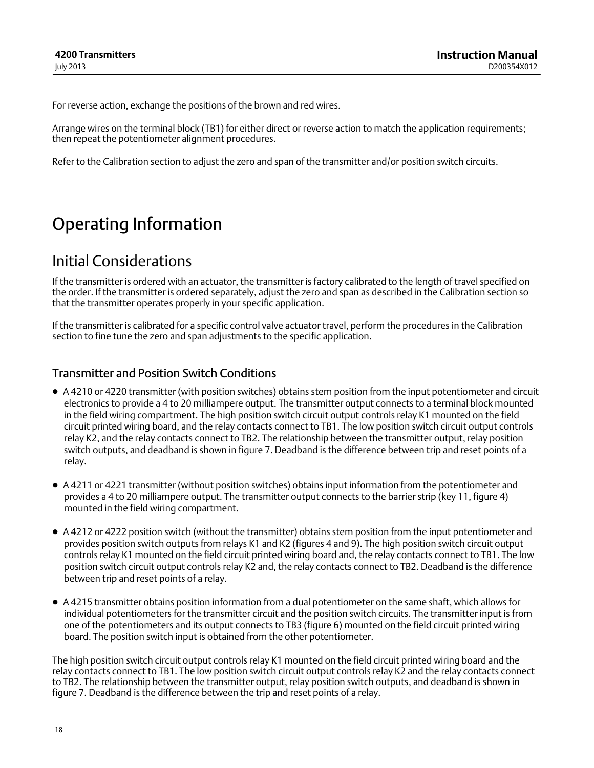<span id="page-17-0"></span>For reverse action, exchange the positions of the brown and red wires.

Arrange wires on the terminal block (TB1) for either direct or reverse action to match the application requirements; then repeat the potentiometer alignment procedures.

Refer to the Calibration section to adjust the zero and span of the transmitter and/or position switch circuits.

# Operating Information

## Initial Considerations

If the transmitter is ordered with an actuator, the transmitter is factory calibrated to the length of travel specified on the order. If the transmitter is ordered separately, adjust the zero and span as described in the Calibration section so that the transmitter operates properly in your specific application.

If the transmitter is calibrated for a specific control valve actuator travel, perform the procedures in the Calibration section to fine tune the zero and span adjustments to the specific application.

### Transmitter and Position Switch Conditions

- A 4210 or 4220 transmitter (with position switches) obtains stem position from the input potentiometer and circuit electronics to provide a 4 to 20 milliampere output. The transmitter output connects to a terminal block mounted in the field wiring compartment. The high position switch circuit output controls relay K1 mounted on the field circuit printed wiring board, and the relay contacts connect to TB1. The low position switch circuit output controls relay K2, and the relay contacts connect to TB2. The relationship between the transmitter output, relay position switch outputs, and deadband is shown in figure [7.](#page-19-0) Deadband is the difference between trip and reset points of a relay.
- A 4211 or 4221 transmitter (without position switches) obtains input information from the potentiometer and provides a 4 to 20 milliampere output. The transmitter output connects to the barrier strip (key 11, figure [4\)](#page-13-0) mounted in the field wiring compartment.
- A 4212 or 4222 position switch (without the transmitter) obtains stem position from the input potentiometer and provides position switch outputs from relays K1 and K2 (figures [4](#page-13-0) and [9](#page-25-0)). The high position switch circuit output controls relay K1 mounted on the field circuit printed wiring board and, the relay contacts connect to TB1. The low position switch circuit output controls relay K2 and, the relay contacts connect to TB2. Deadband is the difference between trip and reset points of a relay.
- A 4215 transmitter obtains position information from a dual potentiometer on the same shaft, which allows for individual potentiometers for the transmitter circuit and the position switch circuits. The transmitter input is from one of the potentiometers and its output connects to TB3 (figure [6\)](#page-18-0) mounted on the field circuit printed wiring board. The position switch input is obtained from the other potentiometer.

The high position switch circuit output controls relay K1 mounted on the field circuit printed wiring board and the relay contacts connect to TB1. The low position switch circuit output controls relay K2 and the relay contacts connect to TB2. The relationship between the transmitter output, relay position switch outputs, and deadband is shown in figure [7.](#page-19-0) Deadband is the difference between the trip and reset points of a relay.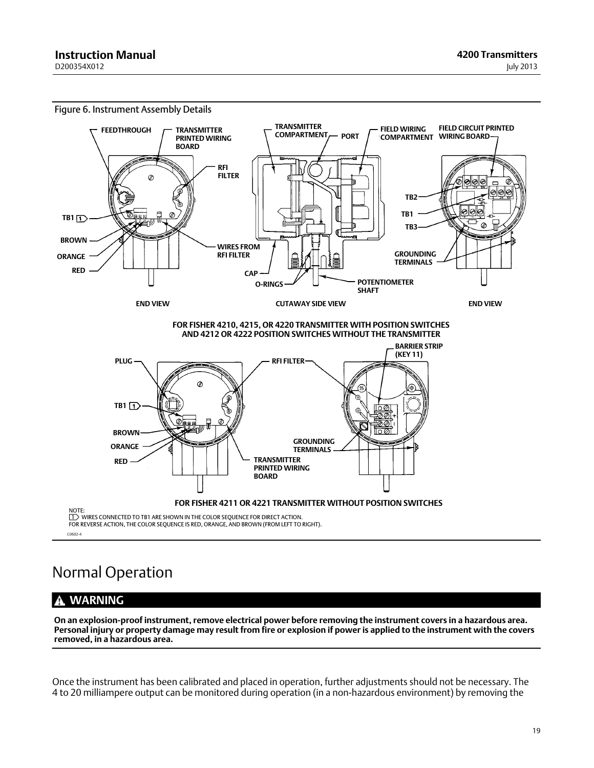<span id="page-18-0"></span>

# Normal Operation

#### **WARNING** A

**On an explosion‐proof instrument, remove electrical power before removing the instrument covers in a hazardous area. Personal injury or property damage may result from fire or explosion if power is applied to the instrument with the covers removed, in a hazardous area.**

Once the instrument has been calibrated and placed in operation, further adjustments should not be necessary. The 4 to 20 milliampere output can be monitored during operation (in a non‐hazardous environment) by removing the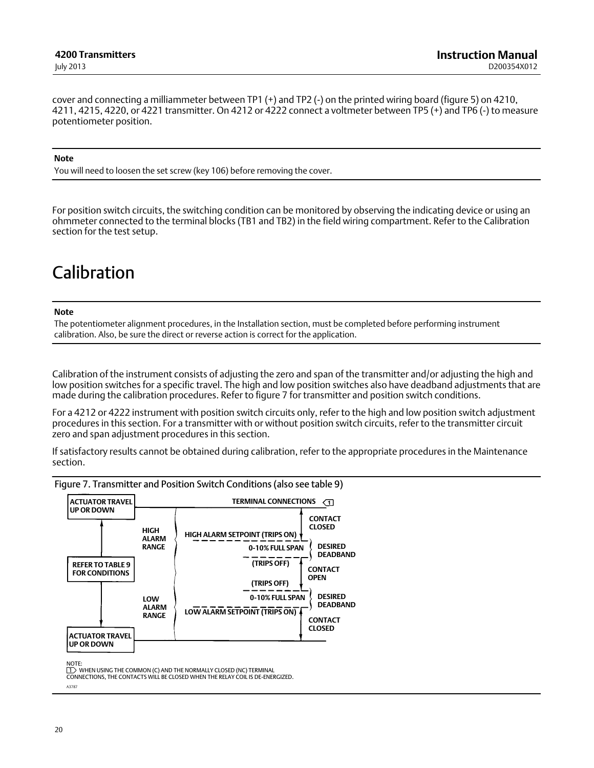<span id="page-19-0"></span>cover and connecting a milliammeter between TP1 (+) and TP2 (-) on the printed wiring board (figure [5\)](#page-16-0) on 4210, 4211, 4215, 4220, or 4221 transmitter. On 4212 or 4222 connect a voltmeter between TP5 (+) and TP6 (-) to measure potentiometer position.

#### **Note**

You will need to loosen the set screw (key 106) before removing the cover.

For position switch circuits, the switching condition can be monitored by observing the indicating device or using an ohmmeter connected to the terminal blocks (TB1 and TB2) in the field wiring compartment. Refer to the Calibration section for the test setup.

# Calibration

#### **Note**

The potentiometer alignment procedures, in the Installation section, must be completed before performing instrument calibration. Also, be sure the direct or reverse action is correct for the application.

Calibration of the instrument consists of adjusting the zero and span of the transmitter and/or adjusting the high and low position switches for a specific travel. The high and low position switches also have deadband adjustments that are made during the calibration procedures. Refer to figure 7 for transmitter and position switch conditions.

For a 4212 or 4222 instrument with position switch circuits only, refer to the high and low position switch adjustment procedures in this section. For a transmitter with or without position switch circuits, refer to the transmitter circuit zero and span adjustment procedures in this section.

If satisfactory results cannot be obtained during calibration, refer to the appropriate procedures in the Maintenance section.

Figure 7. Transmitter and Position Switch Conditions (also see table [9](#page-20-0))



NOTE:

A3787

 $1$  WHEN USING THE COMMON (C) AND THE NORMALLY CLOSED (NC) TERMINAL CONNECTIONS, THE CONTACTS WILL BE CLOSED WHEN THE RELAY COIL IS DE‐ENERGIZED.

20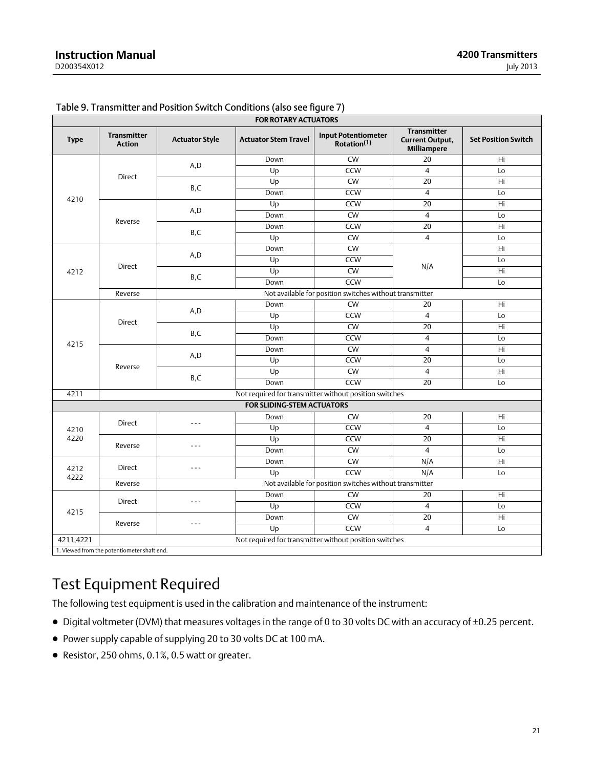| <b>FOR ROTARY ACTUATORS</b>       |                                                        |                       |                             |                                                         |                                                                    |                            |
|-----------------------------------|--------------------------------------------------------|-----------------------|-----------------------------|---------------------------------------------------------|--------------------------------------------------------------------|----------------------------|
| <b>Type</b>                       | <b>Transmitter</b><br><b>Action</b>                    | <b>Actuator Style</b> | <b>Actuator Stem Travel</b> | <b>Input Potentiometer</b><br>Rotation <sup>(1)</sup>   | <b>Transmitter</b><br><b>Current Output,</b><br><b>Milliampere</b> | <b>Set Position Switch</b> |
|                                   |                                                        |                       | Down                        | $\overline{\text{CW}}$                                  | 20                                                                 | Hi.                        |
|                                   |                                                        | A,D                   | Up                          | CCW                                                     | $\overline{4}$                                                     | Lo                         |
|                                   | <b>Direct</b>                                          |                       | Up                          | CW                                                      | $\overline{20}$                                                    | $\overline{Hi}$            |
|                                   |                                                        | B,C                   | Down                        | CCW                                                     | $\overline{4}$                                                     | Lo                         |
| 4210                              |                                                        | A, D                  | Up                          | CCW                                                     | $\overline{20}$                                                    | Hi                         |
|                                   |                                                        |                       | Down                        | $\overline{\text{CW}}$                                  | $\overline{4}$                                                     | Lo                         |
|                                   | Reverse                                                |                       | Down                        | CCW                                                     | 20                                                                 | Hi.                        |
|                                   |                                                        | B,C                   | Up                          | $\overline{\text{CW}}$                                  | $\overline{4}$                                                     | Lo                         |
|                                   |                                                        |                       | Down                        | <b>CW</b>                                               |                                                                    | Hi                         |
|                                   |                                                        | A, D                  | Up                          | CCW                                                     |                                                                    | Lo                         |
| 4212                              | <b>Direct</b>                                          |                       | Up                          | <b>CW</b>                                               | N/A                                                                | Hi                         |
|                                   |                                                        | B,C                   | Down                        | <b>CCW</b>                                              |                                                                    | Lo                         |
|                                   | Reverse                                                |                       |                             | Not available for position switches without transmitter |                                                                    |                            |
|                                   |                                                        |                       | Down                        | <b>CW</b>                                               | 20                                                                 | Hi                         |
|                                   |                                                        | A, D                  | Up                          | CCW                                                     | $\overline{4}$                                                     | Lo                         |
|                                   | <b>Direct</b>                                          |                       | Up                          | <b>CW</b>                                               | $\overline{20}$                                                    | Hi                         |
| 4215                              |                                                        | B,C                   | Down                        | <b>CCW</b>                                              | $\overline{4}$                                                     | Lo                         |
|                                   |                                                        | A, D<br>B,C           | Down                        | <b>CW</b>                                               | $\overline{4}$                                                     | Hi                         |
|                                   |                                                        |                       | Up                          | <b>CCW</b>                                              | $\overline{20}$                                                    | Lo                         |
| Reverse                           |                                                        |                       | Up                          | <b>CW</b>                                               | $\overline{4}$                                                     | Hi                         |
|                                   |                                                        |                       | Down                        | <b>CCW</b>                                              | 20                                                                 | Lo                         |
| 4211                              | Not required for transmitter without position switches |                       |                             |                                                         |                                                                    |                            |
| <b>FOR SLIDING-STEM ACTUATORS</b> |                                                        |                       |                             |                                                         |                                                                    |                            |
|                                   |                                                        | $- - -$               | Down                        | <b>CW</b>                                               | 20                                                                 | Hi                         |
| 4210                              | <b>Direct</b>                                          |                       | Up                          | CCW                                                     | 4                                                                  | Lo                         |
| 4220                              |                                                        |                       | Up                          | CCW                                                     | 20                                                                 | Hi                         |
|                                   | Reverse                                                | $- - -$               | Down                        | <b>CW</b>                                               | $\overline{4}$                                                     | Lo                         |
|                                   |                                                        |                       | Down                        | $\overline{\text{CW}}$                                  | N/A                                                                | $\overline{Hi}$            |
| 4212<br>4222                      | <b>Direct</b>                                          | $- - -$               | U <sub>D</sub>              | CCW                                                     | N/A                                                                | Lo                         |
|                                   | Reverse                                                |                       |                             | Not available for position switches without transmitter |                                                                    |                            |
|                                   |                                                        |                       | Down                        | <b>CW</b>                                               | 20                                                                 | Hi                         |
| 4215                              | Direct                                                 | $- - -$               | Up                          | CCW                                                     | $\overline{4}$                                                     | Lo                         |
|                                   | Reverse                                                |                       | Down                        | <b>CW</b>                                               | 20                                                                 | Hi                         |
|                                   |                                                        | $- - -$               | Up                          | <b>CCW</b>                                              | $\overline{4}$                                                     | Lo                         |
| 4211,4221                         | Not required for transmitter without position switches |                       |                             |                                                         |                                                                    |                            |
|                                   | 1. Viewed from the potentiometer shaft end.            |                       |                             |                                                         |                                                                    |                            |

### <span id="page-20-0"></span>Table 9. Transmitter and Position Switch Conditions (also see figure [7](#page-19-0))

## Test Equipment Required

The following test equipment is used in the calibration and maintenance of the instrument:

- Digital voltmeter (DVM) that measures voltages in the range of 0 to 30 volts DC with an accuracy of ±0.25 percent.
- Power supply capable of supplying 20 to 30 volts DC at 100 mA.
- Resistor, 250 ohms, 0.1%, 0.5 watt or greater.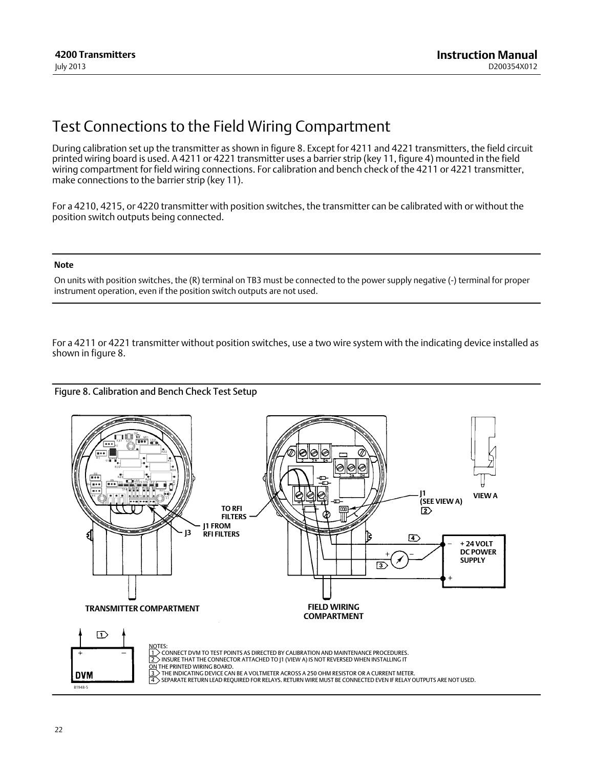## <span id="page-21-0"></span>Test Connections to the Field Wiring Compartment

During calibration set up the transmitter as shown in figure 8. Except for 4211 and 4221 transmitters, the field circuit printed wiring board is used. A 4211 or 4221 transmitter uses a barrier strip (key 11, figure [4\)](#page-13-0) mounted in the field wiring compartment for field wiring connections. For calibration and bench check of the 4211 or 4221 transmitter, make connections to the barrier strip (key 11).

For a 4210, 4215, or 4220 transmitter with position switches, the transmitter can be calibrated with or without the position switch outputs being connected.

#### **Note**

On units with position switches, the (R) terminal on TB3 must be connected to the power supply negative (-) terminal for proper instrument operation, even if the position switch outputs are not used.

For a 4211 or 4221 transmitter without position switches, use a two wire system with the indicating device installed as shown in figure 8.



#### Figure 8. Calibration and Bench Check Test Setup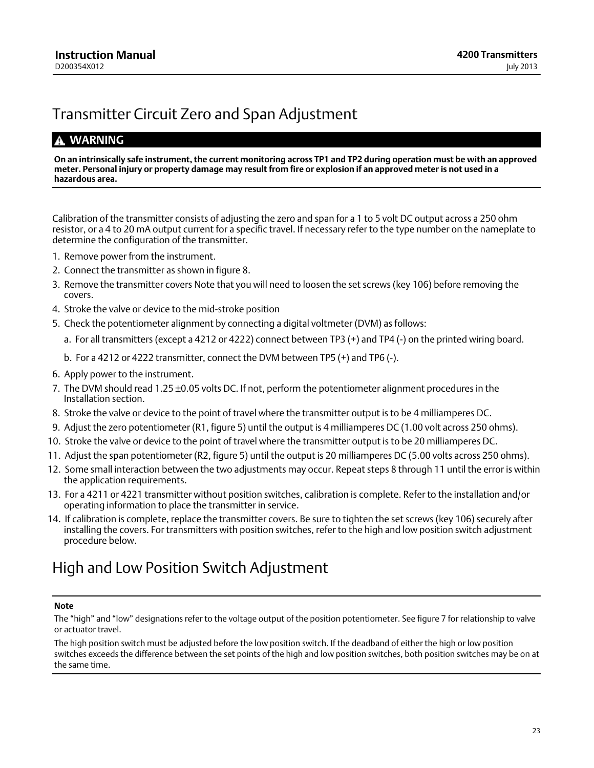# <span id="page-22-0"></span>Transmitter Circuit Zero and Span Adjustment

## **WARNING**

**On an intrinsically safe instrument, the current monitoring across TP1 and TP2 during operation must be with an approved meter. Personal injury or property damage may result from fire or explosion if an approved meter is not used in a hazardous area.**

Calibration of the transmitter consists of adjusting the zero and span for a 1 to 5 volt DC output across a 250 ohm resistor, or a 4 to 20 mA output current for a specific travel. If necessary refer to the type number on the nameplate to determine the configuration of the transmitter.

- 1. Remove power from the instrument.
- 2. Connect the transmitter as shown in figure [8.](#page-21-0)
- 3. Remove the transmitter covers Note that you will need to loosen the set screws (key 106) before removing the covers.
- 4. Stroke the valve or device to the mid‐stroke position
- 5. Check the potentiometer alignment by connecting a digital voltmeter (DVM) as follows:
	- a. For all transmitters (except a 4212 or 4222) connect between TP3 (+) and TP4 (-) on the printed wiring board.
	- b. For a 4212 or 4222 transmitter, connect the DVM between TP5 (+) and TP6 (-).
- 6. Apply power to the instrument.
- 7. The DVM should read 1.25 ±0.05 volts DC. If not, perform the potentiometer alignment procedures in the Installation section.
- 8. Stroke the valve or device to the point of travel where the transmitter output is to be 4 milliamperes DC.
- 9. Adjust the zero potentiometer (R1, figure [5](#page-16-0)) until the output is 4 milliamperes DC (1.00 volt across 250 ohms).
- 10. Stroke the valve or device to the point of travel where the transmitter output is to be 20 milliamperes DC.
- 11. Adjust the span potentiometer (R2, figure [5](#page-16-0)) until the output is 20 milliamperes DC (5.00 volts across 250 ohms).
- 12. Some small interaction between the two adjustments may occur. Repeat steps 8 through 11 until the error is within the application requirements.
- 13. For a 4211 or 4221 transmitter without position switches, calibration is complete. Refer to the installation and/or operating information to place the transmitter in service.
- 14. If calibration is complete, replace the transmitter covers. Be sure to tighten the set screws (key 106) securely after installing the covers. For transmitters with position switches, refer to the high and low position switch adjustment procedure below.

## High and Low Position Switch Adjustment

#### **Note**

The "high" and "low" designations refer to the voltage output of the position potentiometer. See figure [7](#page-19-0) for relationship to valve or actuator travel.

The high position switch must be adjusted before the low position switch. If the deadband of either the high or low position switches exceeds the difference between the set points of the high and low position switches, both position switches may be on at the same time.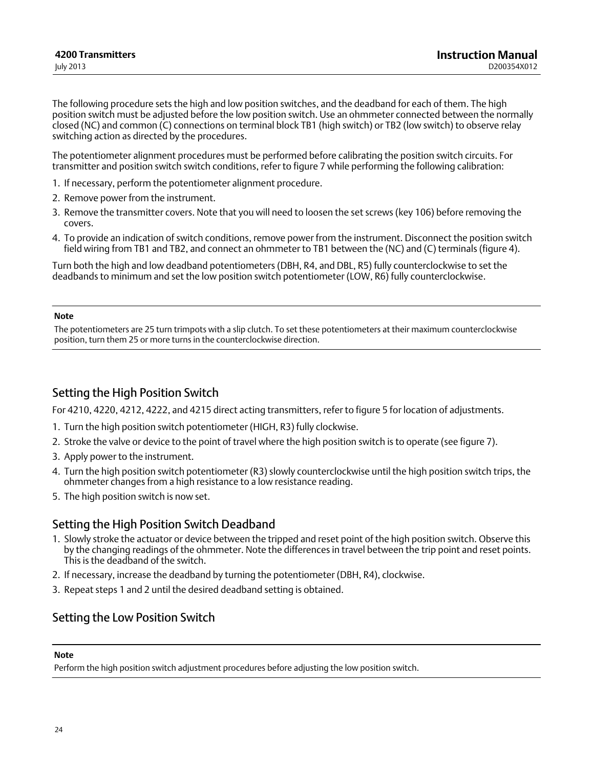<span id="page-23-0"></span>The following procedure sets the high and low position switches, and the deadband for each of them. The high position switch must be adjusted before the low position switch. Use an ohmmeter connected between the normally closed (NC) and common (C) connections on terminal block TB1 (high switch) or TB2 (low switch) to observe relay switching action as directed by the procedures.

The potentiometer alignment procedures must be performed before calibrating the position switch circuits. For transmitter and position switch switch conditions, refer to figure [7](#page-19-0) while performing the following calibration:

- 1. If necessary, perform the potentiometer alignment procedure.
- 2. Remove power from the instrument.
- 3. Remove the transmitter covers. Note that you will need to loosen the set screws (key 106) before removing the covers.
- 4. To provide an indication of switch conditions, remove power from the instrument. Disconnect the position switch field wiring from TB1 and TB2, and connect an ohmmeter to TB1 between the (NC) and (C) terminals (figure [4](#page-13-0)).

Turn both the high and low deadband potentiometers (DBH, R4, and DBL, R5) fully counterclockwise to set the deadbands to minimum and set the low position switch potentiometer (LOW, R6) fully counterclockwise.

#### **Note**

The potentiometers are 25 turn trimpots with a slip clutch. To set these potentiometers at their maximum counterclockwise position, turn them 25 or more turns in the counterclockwise direction.

## Setting the High Position Switch

For 4210, 4220, 4212, 4222, and 4215 direct acting transmitters, refer to figure [5](#page-16-0) for location of adjustments.

- 1. Turn the high position switch potentiometer (HIGH, R3) fully clockwise.
- 2. Stroke the valve or device to the point of travel where the high position switch is to operate (see figure [7](#page-19-0)).
- 3. Apply power to the instrument.
- 4. Turn the high position switch potentiometer (R3) slowly counterclockwise until the high position switch trips, the ohmmeter changes from a high resistance to a low resistance reading.
- 5. The high position switch is now set.

## Setting the High Position Switch Deadband

- 1. Slowly stroke the actuator or device between the tripped and reset point of the high position switch. Observe this by the changing readings of the ohmmeter. Note the differences in travel between the trip point and reset points. This is the deadband of the switch.
- 2. If necessary, increase the deadband by turning the potentiometer (DBH, R4), clockwise.
- 3. Repeat steps 1 and 2 until the desired deadband setting is obtained.

## Setting the Low Position Switch

#### **Note**

Perform the high position switch adjustment procedures before adjusting the low position switch.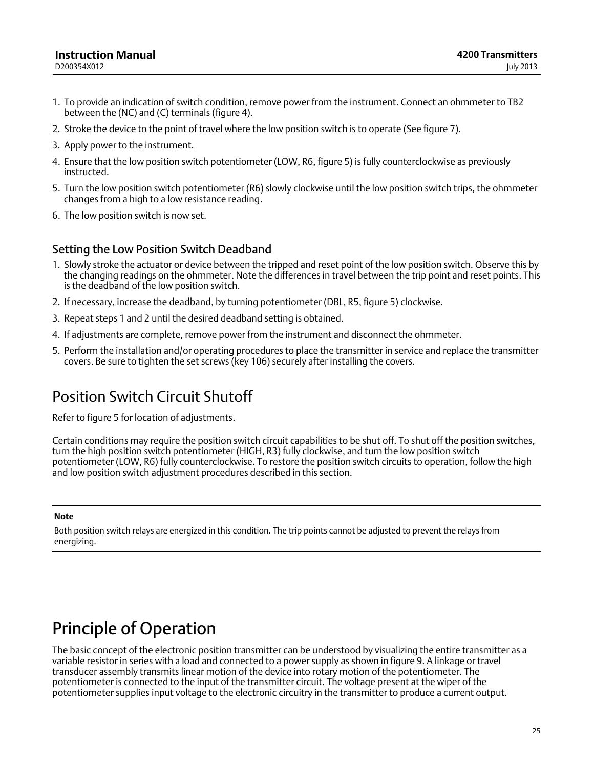#### <span id="page-24-0"></span>**Instruction Manual** D200354X012

- 1. To provide an indication of switch condition, remove power from the instrument. Connect an ohmmeter to TB2 between the (NC) and (C) terminals (figure [4\)](#page-13-0).
- 2. Stroke the device to the point of travel where the low position switch is to operate (See figure [7](#page-19-0)).
- 3. Apply power to the instrument.
- 4. Ensure that the low position switch potentiometer (LOW, R6, figure [5](#page-16-0)) is fully counterclockwise as previously instructed.
- 5. Turn the low position switch potentiometer (R6) slowly clockwise until the low position switch trips, the ohmmeter changes from a high to a low resistance reading.
- 6. The low position switch is now set.

## Setting the Low Position Switch Deadband

- 1. Slowly stroke the actuator or device between the tripped and reset point of the low position switch. Observe this by the changing readings on the ohmmeter. Note the differences in travel between the trip point and reset points. This is the deadband of the low position switch.
- 2. If necessary, increase the deadband, by turning potentiometer (DBL, R5, figure [5\)](#page-16-0) clockwise.
- 3. Repeat steps 1 and 2 until the desired deadband setting is obtained.
- 4. If adjustments are complete, remove power from the instrument and disconnect the ohmmeter.
- 5. Perform the installation and/or operating procedures to place the transmitter in service and replace the transmitter covers. Be sure to tighten the set screws (key 106) securely after installing the covers.

## Position Switch Circuit Shutoff

Refer to figure [5](#page-16-0) for location of adjustments.

Certain conditions may require the position switch circuit capabilities to be shut off. To shut off the position switches, turn the high position switch potentiometer (HIGH, R3) fully clockwise, and turn the low position switch potentiometer (LOW, R6) fully counterclockwise. To restore the position switch circuits to operation, follow the high and low position switch adjustment procedures described in this section.

#### **Note**

Both position switch relays are energized in this condition. The trip points cannot be adjusted to prevent the relays from energizing.

# Principle of Operation

The basic concept of the electronic position transmitter can be understood by visualizing the entire transmitter as a variable resistor in series with a load and connected to a power supply as shown in figure [9](#page-25-0). A linkage or travel transducer assembly transmits linear motion of the device into rotary motion of the potentiometer. The potentiometer is connected to the input of the transmitter circuit. The voltage present at the wiper of the potentiometer supplies input voltage to the electronic circuitry in the transmitter to produce a current output.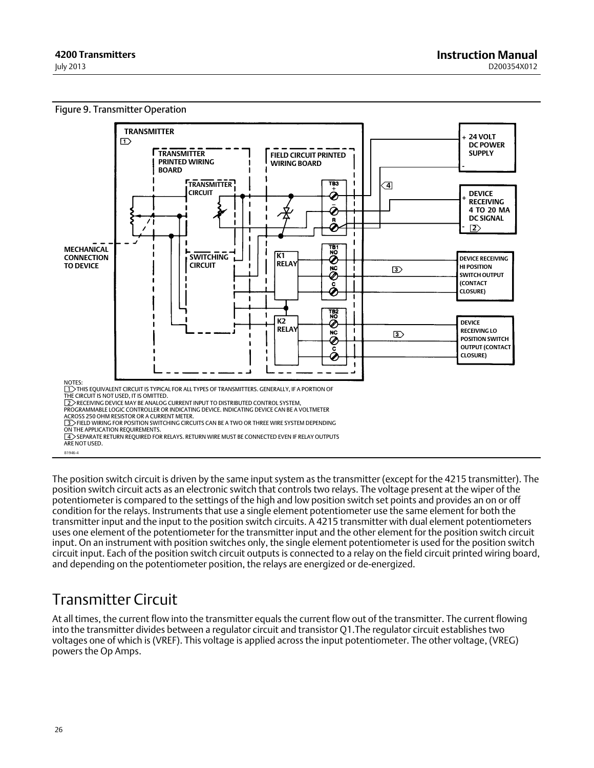<span id="page-25-0"></span>

The position switch circuit is driven by the same input system as the transmitter (except for the 4215 transmitter). The position switch circuit acts as an electronic switch that controls two relays. The voltage present at the wiper of the potentiometer is compared to the settings of the high and low position switch set points and provides an on or off condition for the relays. Instruments that use a single element potentiometer use the same element for both the transmitter input and the input to the position switch circuits. A 4215 transmitter with dual element potentiometers uses one element of the potentiometer for the transmitter input and the other element for the position switch circuit input. On an instrument with position switches only, the single element potentiometer is used for the position switch circuit input. Each of the position switch circuit outputs is connected to a relay on the field circuit printed wiring board, and depending on the potentiometer position, the relays are energized or de‐energized.

# Transmitter Circuit

At all times, the current flow into the transmitter equals the current flow out of the transmitter. The current flowing into the transmitter divides between a regulator circuit and transistor Q1.The regulator circuit establishes two voltages one of which is (VREF). This voltage is applied across the input potentiometer. The other voltage, (VREG) powers the Op Amps.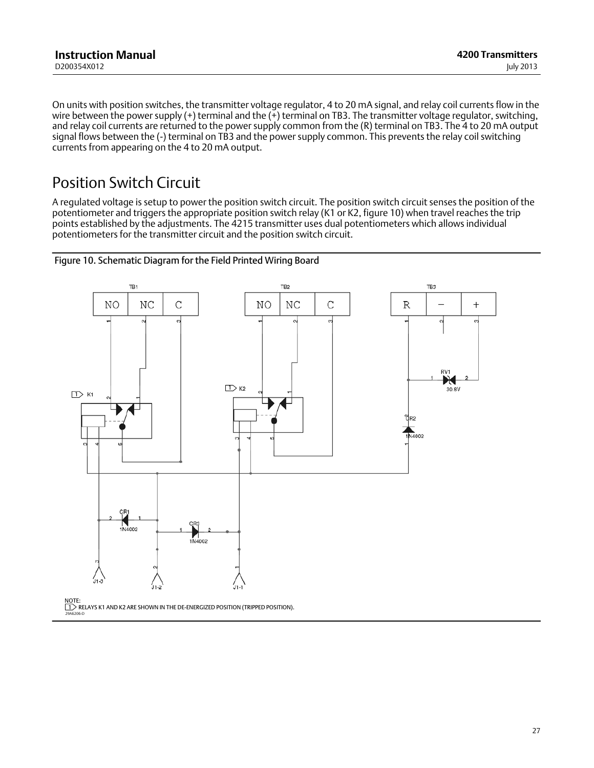<span id="page-26-0"></span>On units with position switches, the transmitter voltage regulator, 4 to 20 mA signal, and relay coil currents flow in the wire between the power supply (+) terminal and the (+) terminal on TB3. The transmitter voltage regulator, switching, and relay coil currents are returned to the power supply common from the (R) terminal on TB3. The 4 to 20 mA output signal flows between the (-) terminal on TB3 and the power supply common. This prevents the relay coil switching currents from appearing on the 4 to 20 mA output.

## Position Switch Circuit

A regulated voltage is setup to power the position switch circuit. The position switch circuit senses the position of the potentiometer and triggers the appropriate position switch relay (K1 or K2, figure 10) when travel reaches the trip points established by the adjustments. The 4215 transmitter uses dual potentiometers which allows individual potentiometers for the transmitter circuit and the position switch circuit.



#### Figure 10. Schematic Diagram for the Field Printed Wiring Board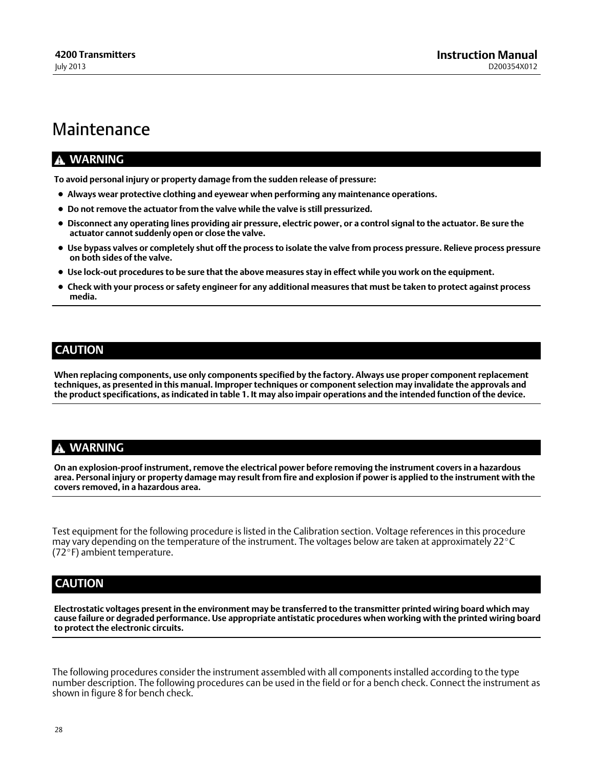## <span id="page-27-0"></span>Maintenance

### **WARNING**

**To avoid personal injury or property damage from the sudden release of pressure:**

- **Always wear protective clothing and eyewear when performing any maintenance operations.**
- **Do not remove the actuator from the valve while the valve is still pressurized.**
- **Disconnect any operating lines providing air pressure, electric power, or a control signal to the actuator. Be sure the actuator cannot suddenly open or close the valve.**
- **Use bypass valves or completely shut off the process to isolate the valve from process pressure. Relieve process pressure on both sides of the valve.**
- **Use lock‐out procedures to be sure that the above measures stay in effect while you work on the equipment.**
- **Check with your process or safety engineer for any additional measures that must be taken to protect against process media.**

### **CAUTION**

**When replacing components, use only components specified by the factory. Always use proper component replacement techniques, as presented in this manual. Improper techniques or component selection may invalidate the approvals and the product specifications, as indicated in table [1](#page-2-0). It may also impair operations and the intended function of the device.**

### **WARNING**

**On an explosion‐proof instrument, remove the electrical power before removing the instrument covers in a hazardous area. Personal injury or property damage may result from fire and explosion if power is applied to the instrument with the covers removed, in a hazardous area.**

Test equipment for the following procedure is listed in the Calibration section. Voltage references in this procedure may vary depending on the temperature of the instrument. The voltages below are taken at approximately 22-C (72-F) ambient temperature.

## **CAUTION**

**Electrostatic voltages present in the environment may be transferred to the transmitter printed wiring board which may cause failure or degraded performance. Use appropriate antistatic procedures when working with the printed wiring board to protect the electronic circuits.**

The following procedures consider the instrument assembled with all components installed according to the type number description. The following procedures can be used in the field or for a bench check. Connect the instrument as shown in figure [8](#page-21-0) for bench check.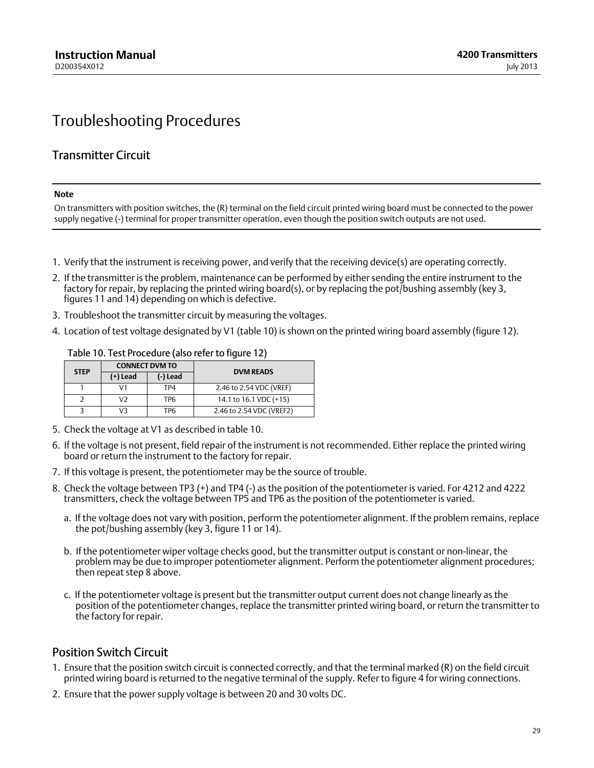## <span id="page-28-0"></span>Troubleshooting Procedures

## Transmitter Circuit

#### **Note**

On transmitters with position switches, the (R) terminal on the field circuit printed wiring board must be connected to the power supply negative (-) terminal for proper transmitter operation, even though the position switch outputs are not used.

- 1. Verify that the instrument is receiving power, and verify that the receiving device(s) are operating correctly.
- 2. If the transmitter is the problem, maintenance can be performed by either sending the entire instrument to the factory for repair, by replacing the printed wiring board(s), or by replacing the pot/bushing assembly (key 3, figures [11](#page-29-0) and [14\)](#page-34-0) depending on which is defective.
- 3. Troubleshoot the transmitter circuit by measuring the voltages.
- 4. Location of test voltage designated by V1 (table 10) is shown on the printed wiring board assembly (figure [12\)](#page-30-0).

| <b>STEP</b> | <b>CONNECT DVM TO</b> |                 | <b>DVM READS</b>         |  |
|-------------|-----------------------|-----------------|--------------------------|--|
|             | (+) Lead              | (-) Lead        |                          |  |
|             | V1                    | TP4             | 2.46 to 2.54 VDC (VREF)  |  |
|             | V2                    | TP <sub>6</sub> | 14.1 to 16.1 VDC (+15)   |  |
|             | V3                    | TP6             | 2.46 to 2.54 VDC (VREF2) |  |

#### Table 10. Test Procedure (also refer to figure [12](#page-30-0))

- 5. Check the voltage at V1 as described in table 10.
- 6. If the voltage is not present, field repair of the instrument is not recommended. Either replace the printed wiring board or return the instrument to the factory for repair.
- 7. If this voltage is present, the potentiometer may be the source of trouble.
- 8. Check the voltage between TP3 (+) and TP4 (-) as the position of the potentiometer is varied. For 4212 and 4222 transmitters, check the voltage between TP5 and TP6 as the position of the potentiometer is varied.
	- a. If the voltage does not vary with position, perform the potentiometer alignment. If the problem remains, replace the pot/bushing assembly (key 3, figure [11](#page-29-0) or [14\)](#page-34-0).
	- b. If the potentiometer wiper voltage checks good, but the transmitter output is constant or non‐linear, the problem may be due to improper potentiometer alignment. Perform the potentiometer alignment procedures; then repeat step 8 above.
	- c. If the potentiometer voltage is present but the transmitter output current does not change linearly as the position of the potentiometer changes, replace the transmitter printed wiring board, or return the transmitter to the factory for repair.

## Position Switch Circuit

- 1. Ensure that the position switch circuit is connected correctly, and that the terminal marked (R) on the field circuit printed wiring board is returned to the negative terminal of the supply. Refer to figure [4](#page-13-0) for wiring connections.
- 2. Ensure that the power supply voltage is between 20 and 30 volts DC.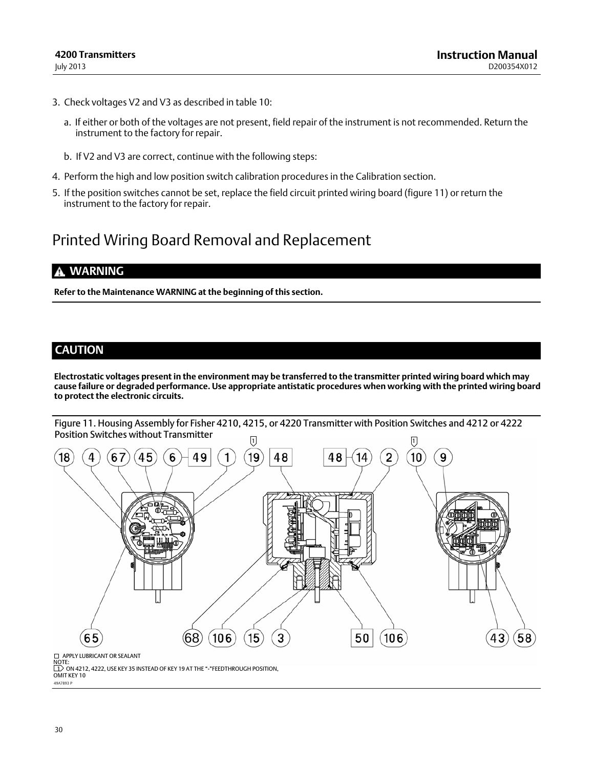- <span id="page-29-0"></span>3. Check voltages V2 and V3 as described in table [10:](#page-28-0)
	- a. If either or both of the voltages are not present, field repair of the instrument is not recommended. Return the instrument to the factory for repair.
	- b. If V2 and V3 are correct, continue with the following steps:
- 4. Perform the high and low position switch calibration procedures in the Calibration section.
- 5. If the position switches cannot be set, replace the field circuit printed wiring board (figure 11) or return the instrument to the factory for repair.

## Printed Wiring Board Removal and Replacement

### **WARNING**

**Refer to the Maintenance WARNING at the beginning of this section.**

### **CAUTION**

**Electrostatic voltages present in the environment may be transferred to the transmitter printed wiring board which may cause failure or degraded performance. Use appropriate antistatic procedures when working with the printed wiring board to protect the electronic circuits.**



49A7893 P OMIT KEY 10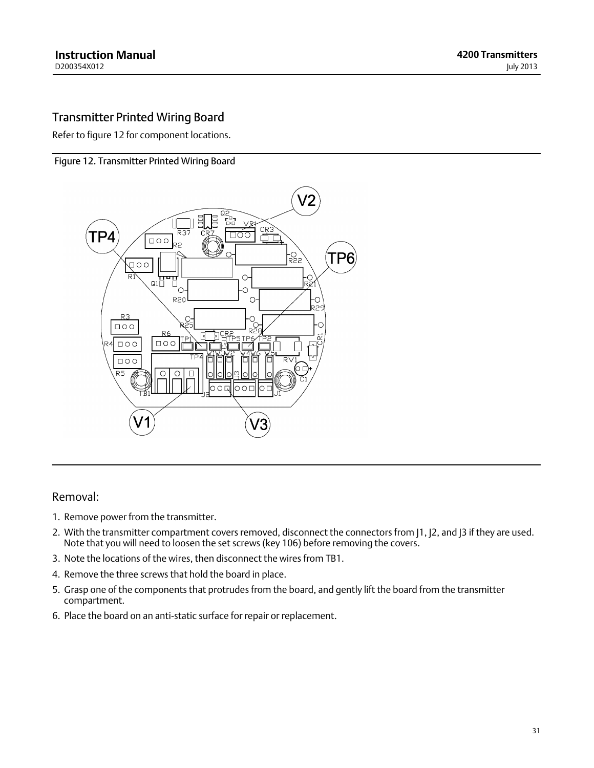## <span id="page-30-0"></span>Transmitter Printed Wiring Board

Refer to figure 12 for component locations.

#### Figure 12. Transmitter Printed Wiring Board



### Removal:

- 1. Remove power from the transmitter.
- 2. With the transmitter compartment covers removed, disconnect the connectors from [1, [2, and [3 if they are used. Note that you will need to loosen the set screws (key 106) before removing the covers.
- 3. Note the locations of the wires, then disconnect the wires from TB1.
- 4. Remove the three screws that hold the board in place.
- 5. Grasp one of the components that protrudes from the board, and gently lift the board from the transmitter compartment.
- 6. Place the board on an anti‐static surface for repair or replacement.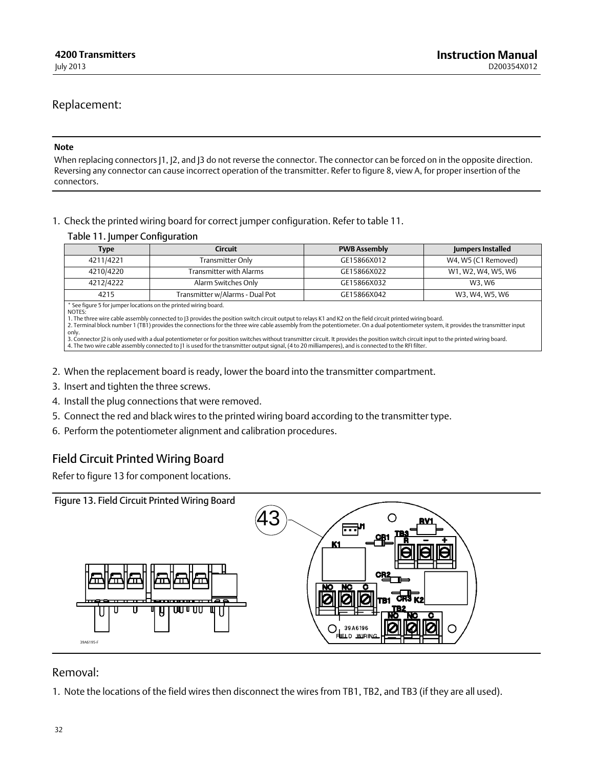### Replacement:

#### **Note**

When replacing connectors |1, |2, and |3 do not reverse the connector. The connector can be forced on in the opposite direction. Reversing any connector can cause incorrect operation of the transmitter. Refer to figure [8](#page-21-0), view A, for proper insertion of the connectors.

1. Check the printed wiring board for correct jumper configuration. Refer to table 11.

#### Table 11. Jumper Configuration

| <b>Type</b>                                                                | Circuit                                                                                                  | <b>PWB Assembly</b> | Jumpers Installed   |
|----------------------------------------------------------------------------|----------------------------------------------------------------------------------------------------------|---------------------|---------------------|
| 4211/4221                                                                  | Transmitter Only                                                                                         | GE15866X012         | W4, W5 (C1 Removed) |
| 4210/4220                                                                  | Transmitter with Alarms                                                                                  | GE15866X022         | W1, W2, W4, W5, W6  |
| 4212/4222                                                                  | Alarm Switches Only                                                                                      | GE15866X032         | W3. W6              |
| 4215                                                                       | Transmitter w/Alarms - Dual Pot                                                                          | GE15866X042         | W3, W4, W5, W6      |
| * See figure 5 for jumper locations on the printed wiring board.<br>NOTES: | الا العاملة والمناسبة المتحدث المتحدث والمتحدث المارية والمتحدث المناسب المتحدث المتحدث المتلوقة المتحدث |                     |                     |

1. The three wire cable assembly connected to J3 provides the position switch circuit output to relays K1 and K2 on the field circuit printed wiring board.<br>2. Terminal block number 1 (TB1) provides the connections for the only.

3. Connector J2 is only used with a dual potentiometer or for position switches without transmitter circuit. It provides the position switch circuit input to the printed wiring board.<br>4. The two wire cable assembly connect

- 2. When the replacement board is ready, lower the board into the transmitter compartment.
- 3. Insert and tighten the three screws.
- 4. Install the plug connections that were removed.
- 5. Connect the red and black wires to the printed wiring board according to the transmitter type.
- 6. Perform the potentiometer alignment and calibration procedures.

## Field Circuit Printed Wiring Board

Refer to figure 13 for component locations.



### Removal:

1. Note the locations of the field wires then disconnect the wires from TB1, TB2, and TB3 (if they are all used).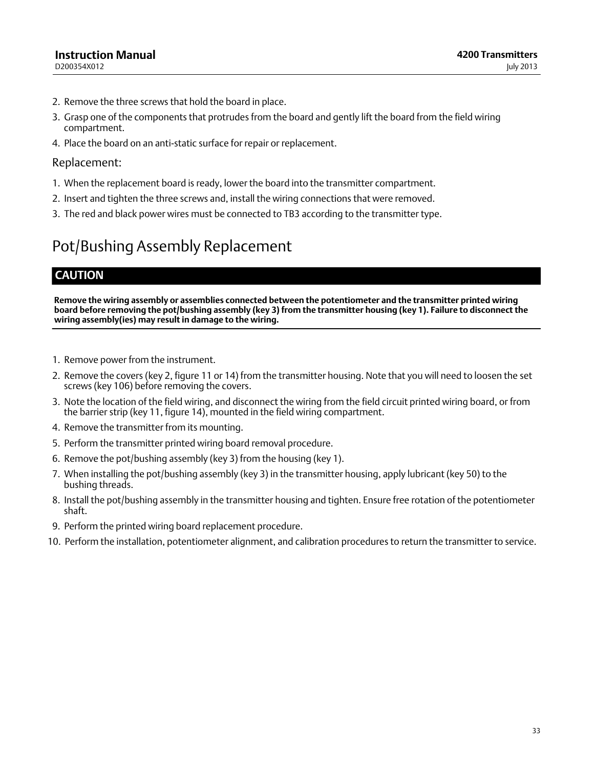- 2. Remove the three screws that hold the board in place.
- 3. Grasp one of the components that protrudes from the board and gently lift the board from the field wiring compartment.
- 4. Place the board on an anti‐static surface for repair or replacement.

### Replacement:

- 1. When the replacement board is ready, lower the board into the transmitter compartment.
- 2. Insert and tighten the three screws and, install the wiring connections that were removed.
- 3. The red and black power wires must be connected to TB3 according to the transmitter type.

# Pot/Bushing Assembly Replacement

## **CAUTION**

**Remove the wiring assembly or assemblies connected between the potentiometer and the transmitter printed wiring board before removing the pot/bushing assembly (key 3) from the transmitter housing (key 1). Failure to disconnect the wiring assembly(ies) may result in damage to the wiring.**

- 1. Remove power from the instrument.
- 2. Remove the covers (key 2, figure [11](#page-29-0) or [14\)](#page-34-0) from the transmitter housing. Note that you will need to loosen the set screws (key 106) before removing the covers.
- 3. Note the location of the field wiring, and disconnect the wiring from the field circuit printed wiring board, or from the barrier strip (key 11, figure [14](#page-34-0)), mounted in the field wiring compartment.
- 4. Remove the transmitter from its mounting.
- 5. Perform the transmitter printed wiring board removal procedure.
- 6. Remove the pot/bushing assembly (key 3) from the housing (key 1).
- 7. When installing the pot/bushing assembly (key 3) in the transmitter housing, apply lubricant (key 50) to the bushing threads.
- 8. Install the pot/bushing assembly in the transmitter housing and tighten. Ensure free rotation of the potentiometer shaft.
- 9. Perform the printed wiring board replacement procedure.
- 10. Perform the installation, potentiometer alignment, and calibration procedures to return the transmitter to service.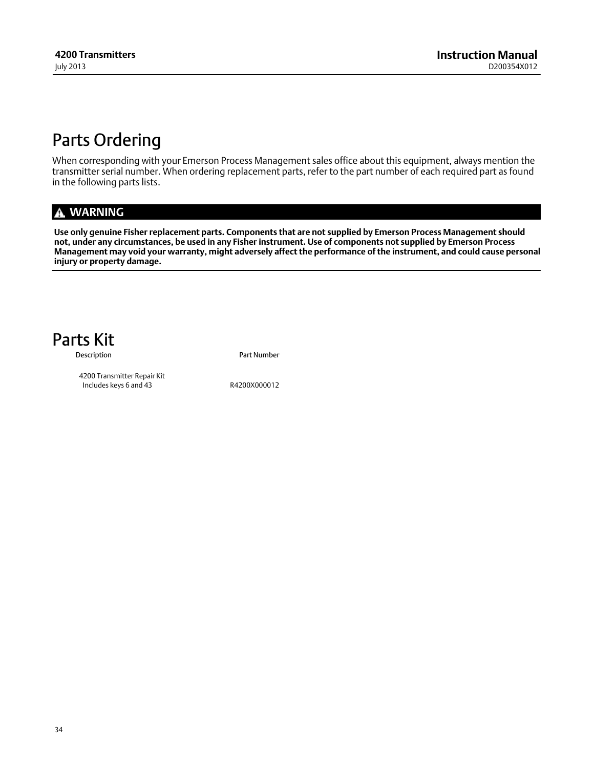# <span id="page-33-0"></span>Parts Ordering

When corresponding with your Emerson Process Management sales office about this equipment, always mention the transmitter serial number. When ordering replacement parts, refer to the part number of each required part as found in the following parts lists.

## **WARNING**

**Use only genuine Fisher replacement parts. Components that are not supplied by Emerson Process Management should not, under any circumstances, be used in any Fisher instrument. Use of components not supplied by Emerson Process Management may void your warranty, might adversely affect the performance of the instrument, and could cause personal injury or property damage.**



Description **Part Number** 

 4200 Transmitter Repair Kit Includes keys 6 and 43 R4200X000012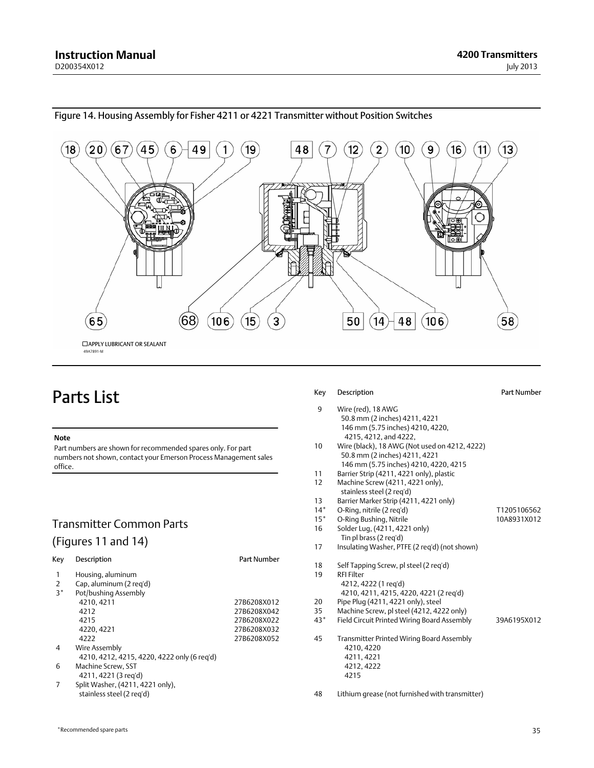

#### <span id="page-34-0"></span>Figure 14. Housing Assembly for Fisher 4211 or 4221 Transmitter without Position Switches

## Parts List

#### **Note**

Part numbers are shown for recommended spares only. For part numbers not shown, contact your Emerson Process Management sales office.

## Transmitter Common Parts (Figures [11](#page-29-0) and 14)

| Key  | Description                                 | Part Number |
|------|---------------------------------------------|-------------|
| 1    | Housing, aluminum                           |             |
| 2    | Cap, aluminum (2 reg'd)                     |             |
| $3*$ | Pot/bushing Assembly                        |             |
|      | 4210, 4211                                  | 27B6208X012 |
|      | 4212                                        | 27B6208X042 |
|      | 4215                                        | 27B6208X022 |
|      | 4220, 4221                                  | 27B6208X032 |
|      | 4222                                        | 27B6208X052 |
| 4    | Wire Assembly                               |             |
|      | 4210, 4212, 4215, 4220, 4222 only (6 reg'd) |             |
| 6    | Machine Screw, SST                          |             |
|      | 4211, 4221 (3 reg'd)                        |             |
|      | Split Washer, (4211, 4221 only),            |             |
|      | stainless steel (2 reg'd)                   |             |

#### Key Description **Part Number**

- 9 Wire (red), 18 AWG 50.8 mm (2 inches) 4211, 4221 146 mm (5.75 inches) 4210, 4220, 4215, 4212, and 4222,
- 10 Wire (black), 18 AWG (Not used on 4212, 4222) 50.8 mm (2 inches) 4211, 4221 146 mm (5.75 inches) 4210, 4220, 4215
- 11 Barrier Strip (4211, 4221 only), plastic
- 12 Machine Screw (4211, 4221 only), stainless steel (2 req'd)
- 13 Barrier Marker Strip (4211, 4221 only)
- 14\* O-Ring, nitrile (2 req'd) T1205106562
- 15<sup>\*</sup> O-Ring Bushing, Nitrile 10A8931X012
- 16 Solder Lug, (4211, 4221 only) Tin pl brass (2 req'd) 17 Insulating Washer, PTFE (2 req'd) (not shown)
- 18 Self Tapping Screw, pl steel (2 req'd) 19 RFI Filter 4212, 4222 (1 req'd) 4210, 4211, 4215, 4220, 4221 (2 req'd)
- 20 Pipe Plug (4211, 4221 only), steel
- 35 Machine Screw, pl steel (4212, 4222 only)
- 43\* Field Circuit Printed Wiring Board Assembly 39A6195X012
- 45 Transmitter Printed Wiring Board Assembly 4210, 4220 4211, 4221 4212, 4222 4215
- 48 Lithium grease (not furnished with transmitter)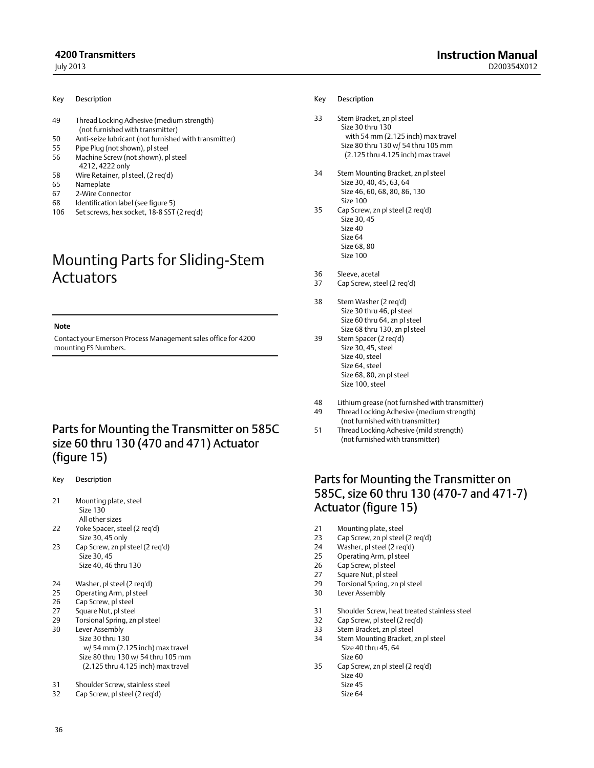- 49 Thread Locking Adhesive (medium strength) (not furnished with transmitter)
- 50 Anti-seize lubricant (not furnished with transmitter)
- 55 Pipe Plug (not shown), pl steel
- 56 Machine Screw (not shown), pl steel
- 4212, 4222 only
- 58 Wire Retainer, pl steel, (2 req'd)
- 65 Nameplate
- 67 2‐Wire Connector
- 68 Identification label (see figure [5](#page-16-0))
- 106 Set screws, hex socket, 18-8 SST (2 req'd)

## Mounting Parts for Sliding‐Stem **Actuators**

#### **Note**

Contact your Emerson Process Management sales office for 4200 mounting FS Numbers.

## Parts for Mounting the Transmitter on 585C size 60 thru 130 (470 and 471) Actuator (figure [15](#page-36-0))

- Key Description
- 21 Mounting plate, steel Size 130 All other sizes
- 22 Yoke Spacer, steel (2 req'd) Size 30, 45 only
- 23 Cap Screw, zn pl steel (2 req'd) Size 30, 45 Size 40, 46 thru 130
- 24 Washer, pl steel (2 req'd)
- 25 Operating Arm, pl steel<br>26 Can Screw pl steel
- Cap Screw, pl steel
- 27 Square Nut, pl steel
- 29 Torsional Spring, zn pl steel
- 30 Lever Assembly Size 30 thru 130 w/ 54 mm (2.125 inch) max travel Size 80 thru 130 w/ 54 thru 105 mm (2.125 thru 4.125 inch) max travel
- 31 Shoulder Screw, stainless steel
- 32 Cap Screw, pl steel (2 req'd)

#### Key Description

- 33 Stem Bracket, zn pl steel Size 30 thru 130 with 54 mm (2.125 inch) max travel Size 80 thru 130 w/ 54 thru 105 mm (2.125 thru 4.125 inch) max travel
- 34 Stem Mounting Bracket, zn pl steel Size 30, 40, 45, 63, 64 Size 46, 60, 68, 80, 86, 130 Size 100
- 35 Cap Screw, zn pl steel (2 req'd) Size 30, 45 Size 40 Size 64 Size 68, 80 Size 100
- 36 Sleeve, acetal
- 37 Cap Screw, steel (2 req'd)
- 38 Stem Washer (2 req'd) Size 30 thru 46, pl steel Size 60 thru 64, zn pl steel Size 68 thru 130, zn pl steel
- 39 Stem Spacer (2 req'd) Size 30, 45, steel Size 40, steel Size 64, steel Size 68, 80, zn pl steel Size 100, steel
- 48 Lithium grease (not furnished with transmitter)
- 49 Thread Locking Adhesive (medium strength) (not furnished with transmitter)
- 51 Thread Locking Adhesive (mild strength) (not furnished with transmitter)

## Parts for Mounting the Transmitter on 585C, size 60 thru 130 (470‐7 and 471‐7) Actuator (figure [15](#page-36-0))

- 21 Mounting plate, steel
- 23 Cap Screw, zn pl steel (2 req'd)
- 24 Washer, pl steel (2 req'd)
- Operating Arm, pl steel
- 26 Cap Screw, pl steel
- 27 Square Nut, pl steel 29 Torsional Spring, zn pl steel
- 30 Lever Assembly
- 31 Shoulder Screw, heat treated stainless steel
- 32 Cap Screw, pl steel (2 req'd)
- 33 Stem Bracket, zn pl steel
- 34 Stem Mounting Bracket, zn pl steel Size 40 thru 45, 64 Size 60
- 35 Cap Screw, zn pl steel (2 req'd) Size 40 Size 45
	- Size 64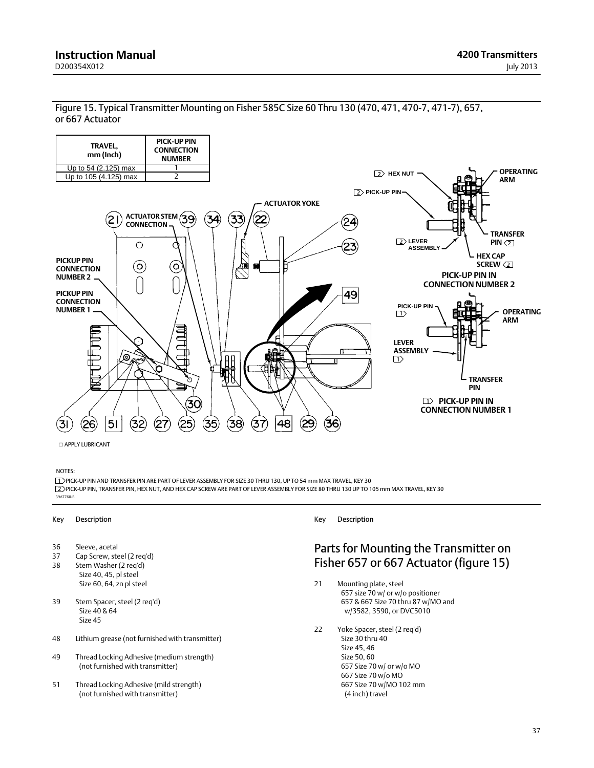<span id="page-36-0"></span>Figure 15. Typical Transmitter Mounting on Fisher 585C Size 60 Thru 130 (470, 471, 470‐7, 471‐7), 657, or 667 Actuator



APPLY LUBRICANT

#### NOTES:

2 PICK‐UP PIN, TRANSFER PIN, HEX NUT, AND HEX CAP SCREW ARE PART OF LEVER ASSEMBLY FOR SIZE 80 THRU 130 UP TO 105 mm MAX TRAVEL, KEY 30 39A7768‐B 1 PICK-UP PIN AND TRANSFER PIN ARE PART OF LEVER ASSEMBLY FOR SIZE 30 THRU 130, UP TO 54 mm MAX TRAVEL, KEY 30

#### Key Description

- 36 Sleeve, acetal<br>37 Cap Screw, ste
- Cap Screw, steel (2 req'd)
- 38 Stem Washer (2 req'd) Size 40, 45, pl steel Size 60, 64, zn pl steel
- 39 Stem Spacer, steel (2 req'd) Size 40 & 64 Size 45
- 48 Lithium grease (not furnished with transmitter)
- 49 Thread Locking Adhesive (medium strength) (not furnished with transmitter)
- 51 Thread Locking Adhesive (mild strength) (not furnished with transmitter)

Key Description

### Parts for Mounting the Transmitter on Fisher 657 or 667 Actuator (figure 15)

- 21 Mounting plate, steel 657 size 70 w/ or w/o positioner 657 & 667 Size 70 thru 87 w/MO and w/3582, 3590, or DVC5010
- 22 Yoke Spacer, steel (2 req'd) Size 30 thru 40 Size 45, 46 Size 50, 60 657 Size 70 w/ or w/o MO 667 Size 70 w/o MO 667 Size 70 w/MO 102 mm (4 inch) travel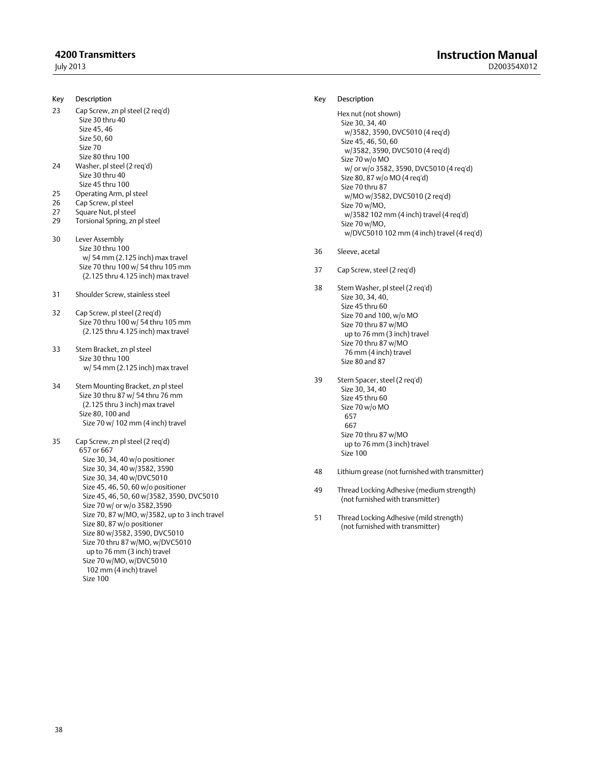#### July 2013

Key Description

- 23 Cap Screw, zn pl steel (2 req'd) Size 30 thru 40 Size 45, 46
	- Size 50, 60
	- Size 70
- Size 80 thru 100 24 Washer, pl steel (2 req'd) Size 30 thru 40
- Size 45 thru 100
- 25 Operating Arm, pl steel<br>26 Cap Screw, pl steel
- Cap Screw, pl steel
- 27 Square Nut, pl steel 29 Torsional Spring, zn pl steel
- 30 Lever Assembly Size 30 thru 100 w/ 54 mm (2.125 inch) max travel Size 70 thru 100 w/ 54 thru 105 mm (2.125 thru 4.125 inch) max travel
- 31 Shoulder Screw, stainless steel
- 32 Cap Screw, pl steel (2 req'd) Size 70 thru 100 w/ 54 thru 105 mm (2.125 thru 4.125 inch) max travel
- 33 Stem Bracket, zn pl steel Size 30 thru 100 w/ 54 mm (2.125 inch) max travel
- 34 Stem Mounting Bracket, zn pl steel Size 30 thru 87 w/ 54 thru 76 mm (2.125 thru 3 inch) max travel Size 80, 100 and Size 70 w/ 102 mm (4 inch) travel
- 35 Cap Screw, zn pl steel (2 req'd) 657 or 667 Size 30, 34, 40 w/o positioner Size 30, 34, 40 w/3582, 3590 Size 30, 34, 40 w/DVC5010 Size 45, 46, 50, 60 w/o positioner Size 45, 46, 50, 60 w/3582, 3590, DVC5010 Size 70 w/ or w/o 3582,3590 Size 70, 87 w/MO, w/3582, up to 3 inch travel Size 80, 87 w/o positioner Size 80 w/3582, 3590, DVC5010 Size 70 thru 87 w/MO, w/DVC5010 up to 76 mm (3 inch) travel Size 70 w/MO, w/DVC5010 102 mm (4 inch) travel Size 100

#### Key Description

```
Hex nut (not shown)
 Size 30, 34, 40
   w/3582, 3590, DVC5010 (4 req'd)
 Size 45, 46, 50, 60
   w/3582, 3590, DVC5010 (4 req'd)
 Size 70 w/o MO
   w/ or w/o 3582, 3590, DVC5010 (4 req'd)
 Size 80, 87 w/o MO (4 req'd)
Size 70 thru 87
   w/MO w/3582, DVC5010 (2 req'd)
 Size 70 w/MO,
   w/3582 102 mm (4 inch) travel (4 req'd)
 Size 70 w/MO,
   w/DVC5010 102 mm (4 inch) travel (4 req'd)
```
- 36 Sleeve, acetal
- 37 Cap Screw, steel (2 req'd)
- 38 Stem Washer, pl steel (2 req'd) Size 30, 34, 40, Size 45 thru 60 Size 70 and 100, w/o MO Size 70 thru 87 w/MO up to 76 mm (3 inch) travel Size 70 thru 87 w/MO 76 mm (4 inch) travel Size 80 and 87
- 39 Stem Spacer, steel (2 req'd) Size 30, 34, 40 Size 45 thru 60 Size 70 w/o MO 657 667 Size 70 thru 87 w/MO up to 76 mm (3 inch) travel Size 100
- 48 Lithium grease (not furnished with transmitter)
- 49 Thread Locking Adhesive (medium strength) (not furnished with transmitter)
- 51 Thread Locking Adhesive (mild strength) (not furnished with transmitter)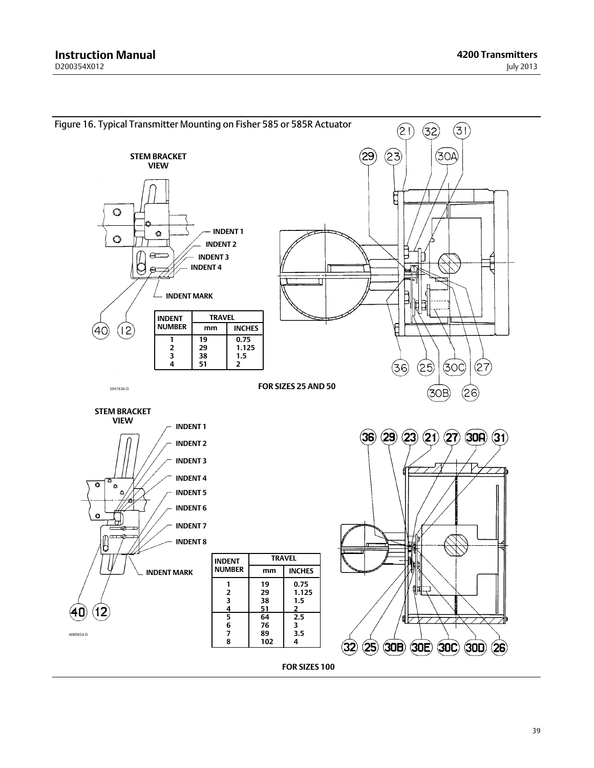<span id="page-38-0"></span>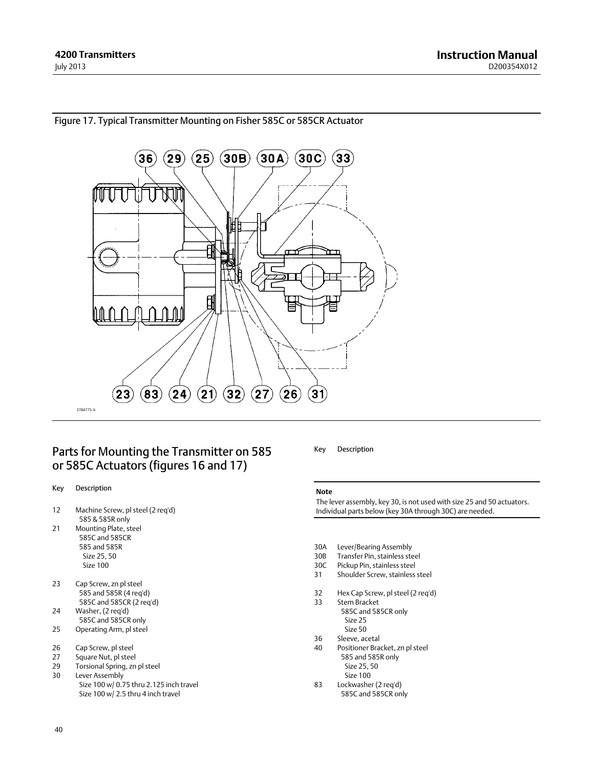

#### <span id="page-39-0"></span>Figure 17. Typical Transmitter Mounting on Fisher 585C or 585CR Actuator

## Parts for Mounting the Transmitter on 585 or 585C Actuators (figures [16](#page-38-0) and 17)

#### Key Description

- 12 Machine Screw, pl steel (2 req'd) 585 & 585R only
- 21 Mounting Plate, steel 585C and 585CR 585 and 585R Size 25, 50 Size 100
- 23 Cap Screw, zn pl steel 585 and 585R (4 req'd) 585C and 585CR (2 req'd)
- 24 Washer, (2 req'd) 585C and 585CR only
- 25 Operating Arm, pl steel
- 26 Cap Screw, pl steel
- 27 Square Nut, pl steel
- 29 Torsional Spring, zn pl steel
- 30 Lever Assembly Size 100 w/ 0.75 thru 2.125 inch travel Size 100 w/ 2.5 thru 4 inch travel

#### Key Description

#### **Note**

The lever assembly, key 30, is not used with size 25 and 50 actuators. Individual parts below (key 30A through 30C) are needed.

- 30A Lever/Bearing Assembly<br>30B Transfer Pin, stainless ste
- Transfer Pin, stainless steel
- 30C Pickup Pin, stainless steel 31 Shoulder Screw, stainless steel
- 32 Hex Cap Screw, pl steel (2 req'd)<br>33 Stem Bracket
	- Stem Bracket 585C and 585CR only Size 25 Size 50
- 36 Sleeve, acetal
- 40 Positioner Bracket, zn pl steel 585 and 585R only Size 25, 50 Size 100
- 83 Lockwasher (2 req'd) 585C and 585CR only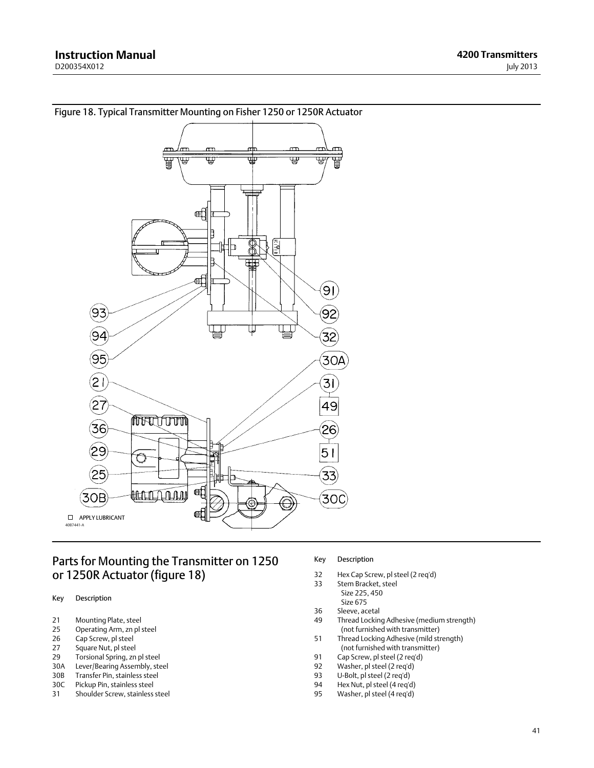

<span id="page-40-0"></span>Figure 18. Typical Transmitter Mounting on Fisher 1250 or 1250R Actuator

## Parts for Mounting the Transmitter on 1250 or 1250R Actuator (figure 18)

- Key Description
- 21 Mounting Plate, steel
- 25 Operating Arm, zn pl steel
- 26 Cap Screw, pl steel
- 27 Square Nut, pl steel
- 29 Torsional Spring, zn pl steel<br>30A Lever/Bearing Assembly, ste Lever/Bearing Assembly, steel
- 
- 30B Transfer Pin, stainless steel 30C Pickup Pin, stainless steel
- 31 Shoulder Screw, stainless steel

#### Key Description

- 32 Hex Cap Screw, pl steel (2 req'd)
- 33 Stem Bracket, steel
	- Size 225, 450
- Size 675 36 Sleeve, acetal
- 49 Thread Locking Adhesive (medium strength)
	- (not furnished with transmitter)
- 51 Thread Locking Adhesive (mild strength) (not furnished with transmitter)
- 91 Cap Screw, pl steel (2 req'd)<br>92 Washer, pl steel (2 req'd)
- Washer, pl steel (2 req'd)
- 93 U-Bolt, pl steel (2 req'd)<br>94 Hex Nut, pl steel (4 req'd
- 94 Hex Nut, pl steel (4 req'd)<br>95 Washer, pl steel (4 req'd) Washer, pl steel (4 req'd)
-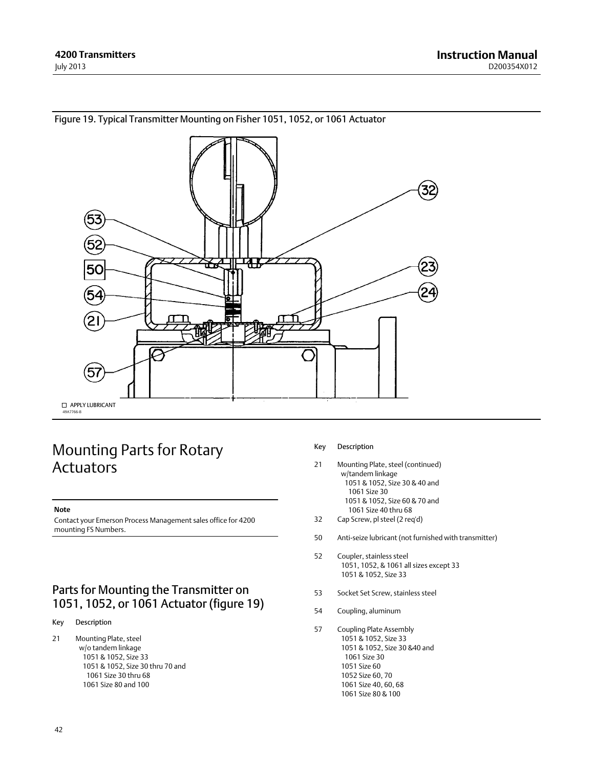

### <span id="page-41-0"></span>Figure 19. Typical Transmitter Mounting on Fisher 1051, 1052, or 1061 Actuator

## Mounting Parts for Rotary Actuators

#### **Note**

Contact your Emerson Process Management sales office for 4200 mounting FS Numbers.

## Parts for Mounting the Transmitter on 1051, 1052, or 1061 Actuator (figure 19)

#### Key Description

21 Mounting Plate, steel w/o tandem linkage 1051 & 1052, Size 33 1051 & 1052, Size 30 thru 70 and 1061 Size 30 thru 68 1061 Size 80 and 100

#### Key Description

- 21 Mounting Plate, steel (continued) w/tandem linkage 1051 & 1052, Size 30 & 40 and 1061 Size 30 1051 & 1052, Size 60 & 70 and 1061 Size 40 thru 68
- 32 Cap Screw, pl steel (2 req'd)
- 50 Anti‐seize lubricant (not furnished with transmitter)
- 52 Coupler, stainless steel 1051, 1052, & 1061 all sizes except 33 1051 & 1052, Size 33
- 53 Socket Set Screw, stainless steel
- 54 Coupling, aluminum
- 57 Coupling Plate Assembly 1051 & 1052, Size 33 1051 & 1052, Size 30 &40 and 1061 Size 30 1051 Size 60 1052 Size 60, 70 1061 Size 40, 60, 68 1061 Size 80 & 100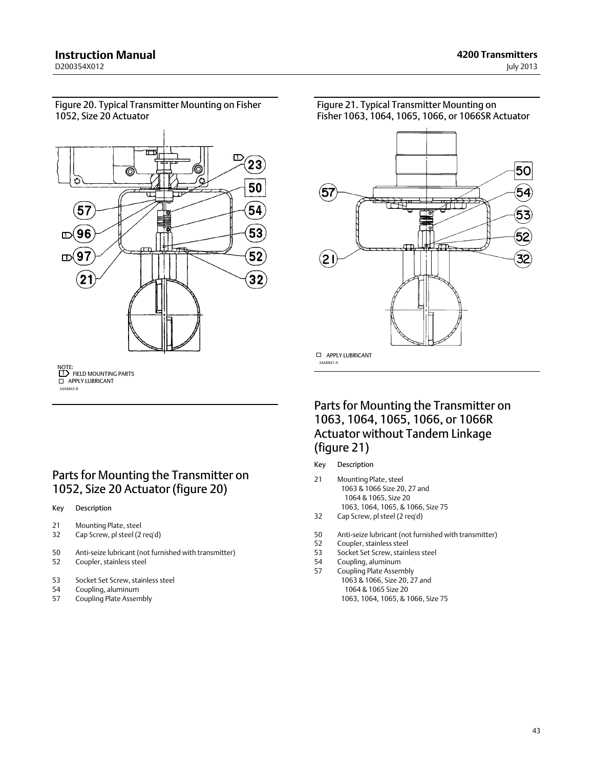<span id="page-42-0"></span>Figure 20. Typical Transmitter Mounting on Fisher 1052, Size 20 Actuator



34A8843‐B NOTE:<br>**[1]** FIELD MOUNTING PARTS **D** APPLY LUBRICANT

## Parts for Mounting the Transmitter on 1052, Size 20 Actuator (figure 20)

Key Description

- 21 Mounting Plate, steel
- 32 Cap Screw, pl steel (2 req'd)
- 50 Anti‐seize lubricant (not furnished with transmitter)
- 52 Coupler, stainless steel
- 53 Socket Set Screw, stainless steel
- 54 Coupling, aluminum
- 57 Coupling Plate Assembly



Parts for Mounting the Transmitter on 1063, 1064, 1065, 1066, or 1066R Actuator without Tandem Linkage (figure 21)

#### Key Description

34A8841‐A

- 21 Mounting Plate, steel 1063 & 1066 Size 20, 27 and 1064 & 1065, Size 20 1063, 1064, 1065, & 1066, Size 75
- 32 Cap Screw, pl steel (2 req'd)
- 50 Anti-seize lubricant (not furnished with transmitter)<br>52 Coupler, stainless steel
- Coupler, stainless steel
- 53 Socket Set Screw, stainless steel<br>54 Coupling aluminum
- 54 Coupling, aluminum<br>57 Coupling Plate Assen
	- Coupling Plate Assembly 1063 & 1066, Size 20, 27 and 1064 & 1065 Size 20 1063, 1064, 1065, & 1066, Size 75

Figure 21. Typical Transmitter Mounting on Fisher 1063, 1064, 1065, 1066, or 1066SR Actuator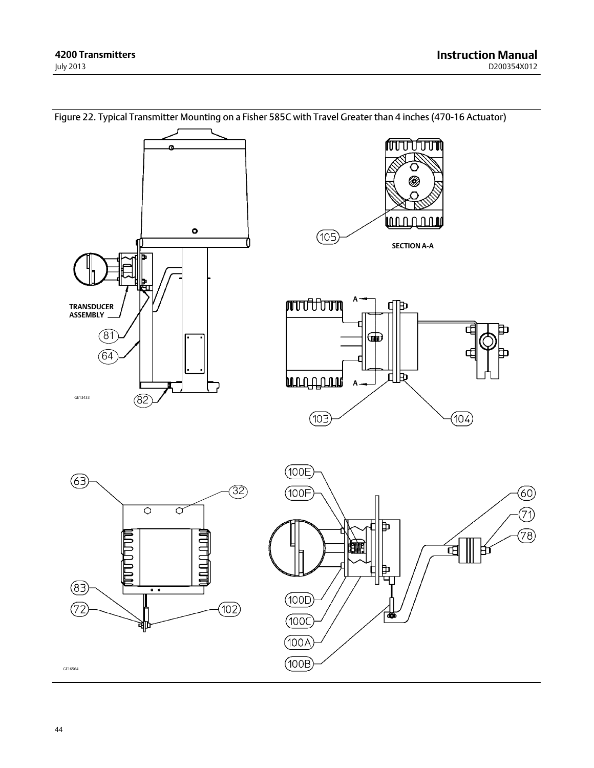<span id="page-43-0"></span>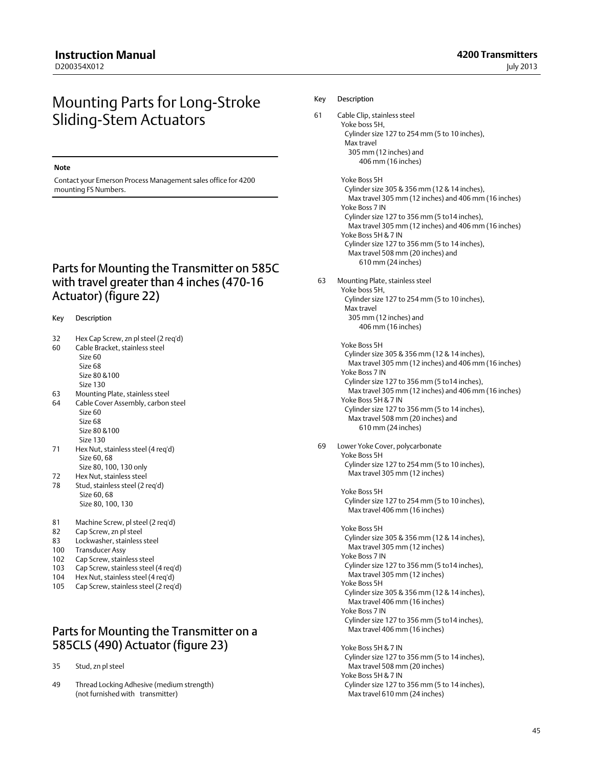## Mounting Parts for Long‐Stroke Sliding‐Stem Actuators

#### **Note**

Contact your Emerson Process Management sales office for 4200 mounting FS Numbers.

## Parts for Mounting the Transmitter on 585C with travel greater than 4 inches (470‐16 Actuator) (figure [22](#page-43-0))

#### Key Description

- 32 Hex Cap Screw, zn pl steel (2 req'd)
- 60 Cable Bracket, stainless steel
	- Size 60 Size 68 Size 80 &100
	- Size 130
- 63 Mounting Plate, stainless steel 64 Cable Cover Assembly, carbon steel Size 60
	- Size 68 Size 80 &100
- Size 130 71 Hex Nut, stainless steel (4 req'd) Size 60, 68 Size 80, 100, 130 only
- 72 Hex Nut, stainless steel
- 78 Stud, stainless steel (2 req'd) Size 60, 68 Size 80, 100, 130
- 81 Machine Screw, pl steel (2 req'd)
- 82 Cap Screw, zn pl steel
- 83 Lockwasher, stainless steel
- 100 Transducer Assy
- 102 Cap Screw, stainless steel
- 103 Cap Screw, stainless steel (4 req'd)
- 104 Hex Nut, stainless steel (4 req'd)
- 105 Cap Screw, stainless steel (2 req'd)

## Parts for Mounting the Transmitter on a 585CLS (490) Actuator (figure [23\)](#page-45-0)

35 Stud, zn pl steel

49 Thread Locking Adhesive (medium strength) (not furnished with transmitter)

#### Key Description

- 61 Cable Clip, stainless steel Yoke boss 5H, Cylinder size 127 to 254 mm (5 to 10 inches), Max travel 305 mm (12 inches) and 406 mm (16 inches)
	- Yoke Boss 5H Cylinder size 305 & 356 mm (12 & 14 inches), Max travel 305 mm (12 inches) and 406 mm (16 inches) Yoke Boss 7 IN Cylinder size 127 to 356 mm (5 to14 inches), Max travel 305 mm (12 inches) and 406 mm (16 inches) Yoke Boss 5H & 7 IN Cylinder size 127 to 356 mm (5 to 14 inches), Max travel 508 mm (20 inches) and 610 mm (24 inches)
- 63 Mounting Plate, stainless steel Yoke boss 5H, Cylinder size 127 to 254 mm (5 to 10 inches), Max travel 305 mm (12 inches) and 406 mm (16 inches)
	- Yoke Boss 5H Cylinder size 305 & 356 mm (12 & 14 inches), Max travel 305 mm (12 inches) and 406 mm (16 inches) Yoke Boss 7 IN Cylinder size 127 to 356 mm (5 to14 inches), Max travel 305 mm (12 inches) and 406 mm (16 inches) Yoke Boss 5H & 7 IN Cylinder size 127 to 356 mm (5 to 14 inches), Max travel 508 mm (20 inches) and 610 mm (24 inches)
- 69 Lower Yoke Cover, polycarbonate Yoke Boss 5H Cylinder size 127 to 254 mm (5 to 10 inches), Max travel 305 mm (12 inches)

 Yoke Boss 5H Cylinder size 127 to 254 mm (5 to 10 inches), Max travel 406 mm (16 inches)

 Yoke Boss 5H Cylinder size 305 & 356 mm (12 & 14 inches), Max travel 305 mm (12 inches) Yoke Boss 7 IN Cylinder size 127 to 356 mm (5 to14 inches), Max travel 305 mm (12 inches) Yoke Boss 5H Cylinder size 305 & 356 mm (12 & 14 inches), Max travel 406 mm (16 inches) Yoke Boss 7 IN Cylinder size 127 to 356 mm (5 to14 inches), Max travel 406 mm (16 inches) Yoke Boss 5H & 7 IN Cylinder size 127 to 356 mm (5 to 14 inches),

 Max travel 508 mm (20 inches) Yoke Boss 5H & 7 IN Cylinder size 127 to 356 mm (5 to 14 inches), Max travel 610 mm (24 inches)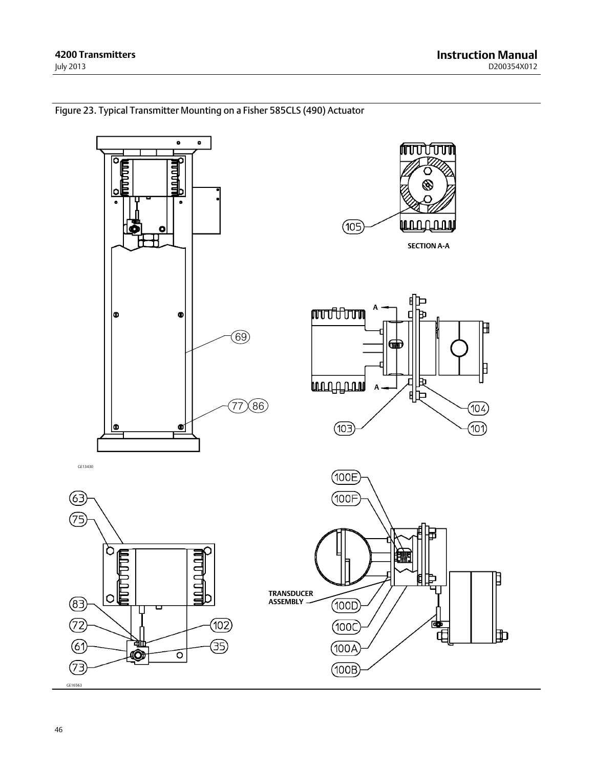<span id="page-45-0"></span>

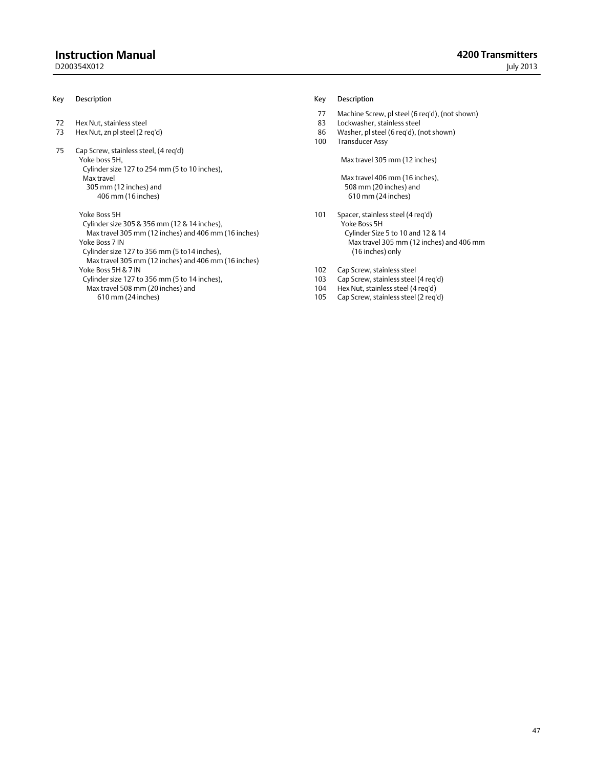### **Instruction Manual**

D200354X012

#### Key Description

- 72 Hex Nut, stainless steel<br>73 Hex Nut, zn pl steel (2 re
- Hex Nut, zn pl steel (2 req'd)
- 75 Cap Screw, stainless steel, (4 req'd)

 Yoke boss 5H, Cylinder size 127 to 254 mm (5 to 10 inches), Max travel 305 mm (12 inches) and 406 mm (16 inches)

Yoke Boss 5H

 Cylinder size 305 & 356 mm (12 & 14 inches), Max travel 305 mm (12 inches) and 406 mm (16 inches) Yoke Boss 7 IN Cylinder size 127 to 356 mm (5 to14 inches), Max travel 305 mm (12 inches) and 406 mm (16 inches) Yoke Boss 5H & 7 IN Cylinder size 127 to 356 mm (5 to 14 inches), Max travel 508 mm (20 inches) and

610 mm (24 inches)

#### Key Description

- 77 Machine Screw, pl steel (6 req'd), (not shown)
- 83 Lockwasher, stainless steel<br>86 Washer, pl steel (6 reg'd), (r
- Washer, pl steel (6 req'd), (not shown)
- 100 Transducer Assy

Max travel 305 mm (12 inches)

 Max travel 406 mm (16 inches), 508 mm (20 inches) and 610 mm (24 inches)

- 101 Spacer, stainless steel (4 req'd) Yoke Boss 5H Cylinder Size 5 to 10 and 12 & 14 Max travel 305 mm (12 inches) and 406 mm (16 inches) only
- 102 Cap Screw, stainless steel
- 103 Cap Screw, stainless steel (4 req'd)
- 104 Hex Nut, stainless steel (4 req'd)<br>105 Cap Screw, stainless steel (2 req'd)
- Cap Screw, stainless steel (2 req'd)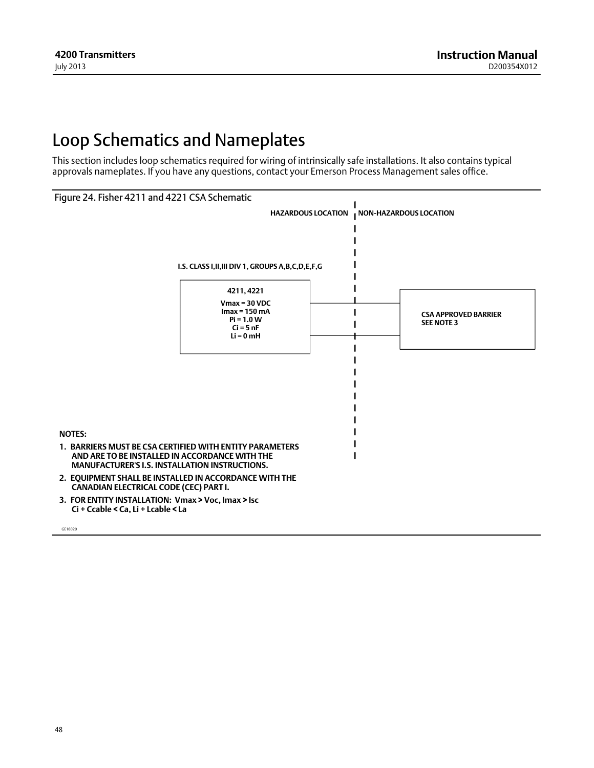# <span id="page-47-0"></span>Loop Schematics and Nameplates

This section includes loop schematics required for wiring of intrinsically safe installations. It also contains typical approvals nameplates. If you have any questions, contact your Emerson Process Management sales office.



GE16020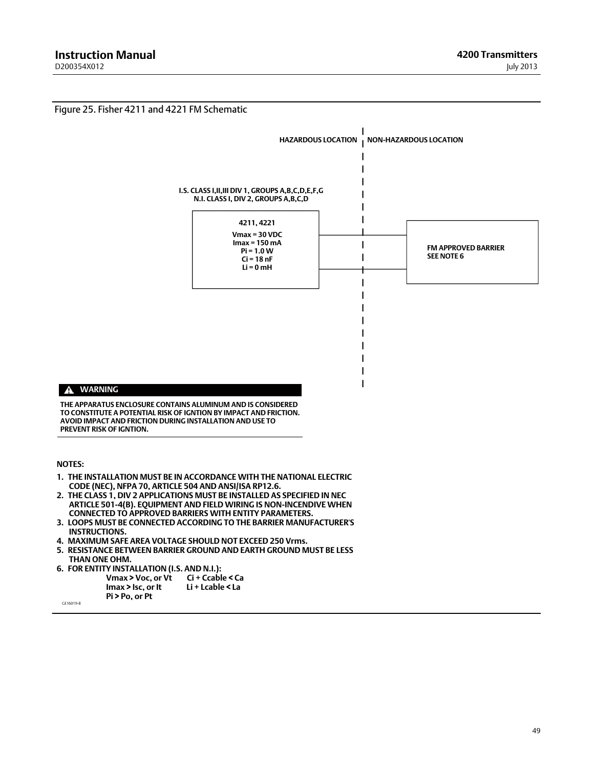<span id="page-48-0"></span>

- **3. LOOPS MUST BE CONNECTED ACCORDING TO THE BARRIER MANUFACTURER'S INSTRUCTIONS.**
- **4. MAXIMUM SAFE AREA VOLTAGE SHOULD NOT EXCEED 250 Vrms.**
- **5. RESISTANCE BETWEEN BARRIER GROUND AND EARTH GROUND MUST BE LESS THAN ONE OHM.**
- **6. FOR ENTITY INSTALLATION (I.S. AND N.I.): Vmax > Voc, or Vt** Ci + Ccable < Ca<br> **Imax > Isc. or It** Li + Lcable < La  **Imax > Isc, or It Pi > Po, or Pt**

GE16019-B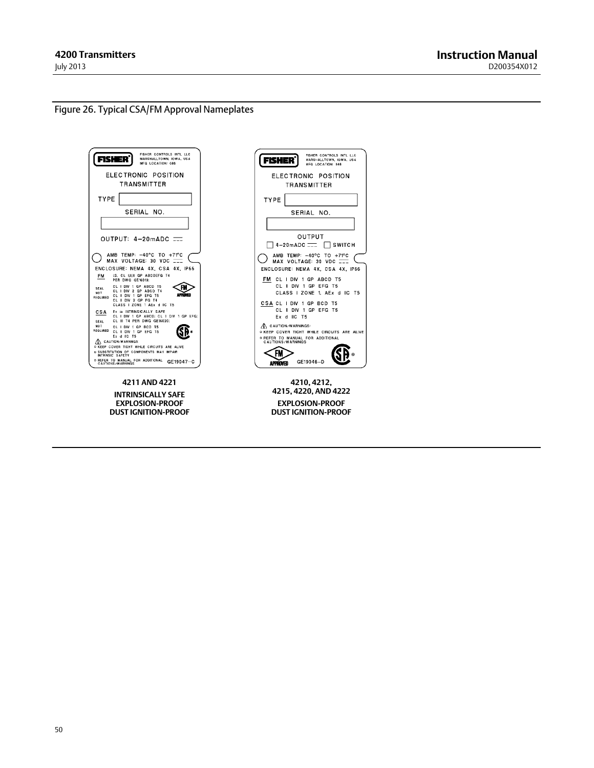#### <span id="page-49-0"></span>Figure 26. Typical CSA/FM Approval Nameplates



**4211 AND 4221 INTRINSICALLY SAFE EXPLOSION-PROOF DUST IGNITION-PROOF**

| FISHER CONTROLS INTL LLC<br>Fisher <sup>°</sup><br>MARSHALLTOWN, IOWA, USA<br>MFG LOCATION: 088                                                 |
|-------------------------------------------------------------------------------------------------------------------------------------------------|
| ELECTRONIC POSITION<br><b>TRANSMITTER</b>                                                                                                       |
| <b>TYPE</b>                                                                                                                                     |
| SERIAL NO.                                                                                                                                      |
|                                                                                                                                                 |
| OUTPUT                                                                                                                                          |
| 4-20mADC == ISWITCH                                                                                                                             |
| AMB TEMP: -40°C TO +71°C<br>MAX VOLTAGE: 30 VDC I<br>ENCLOSURE: NEMA 4X, CSA 4X, IP66                                                           |
| FM CL I DIV 1 GP ABCD T5<br>CL II DIV 1 GP EFG T5<br>CLASS   ZONE 1. AEx d IIC T5                                                               |
| CSACLIDIV 1 GP BCD T5<br>CL II DIV 1 GP EFG T5<br>Ex d IIC T5                                                                                   |
| A CAUTION/WARNINGS:<br><b>OKEEP COVER TIGHT WHILE CIRCUITS ARE ALIVE</b><br><b>O REFER TO MANUAL FOR ADDITIONAL</b><br><b>CAUTIONS/WARNINGS</b> |
| GE19046-D<br>APPROVED                                                                                                                           |
| 4210, 4212,                                                                                                                                     |

**4215, 4220, AND 4222 EXPLOSION-PROOF DUST IGNITION-PROOF**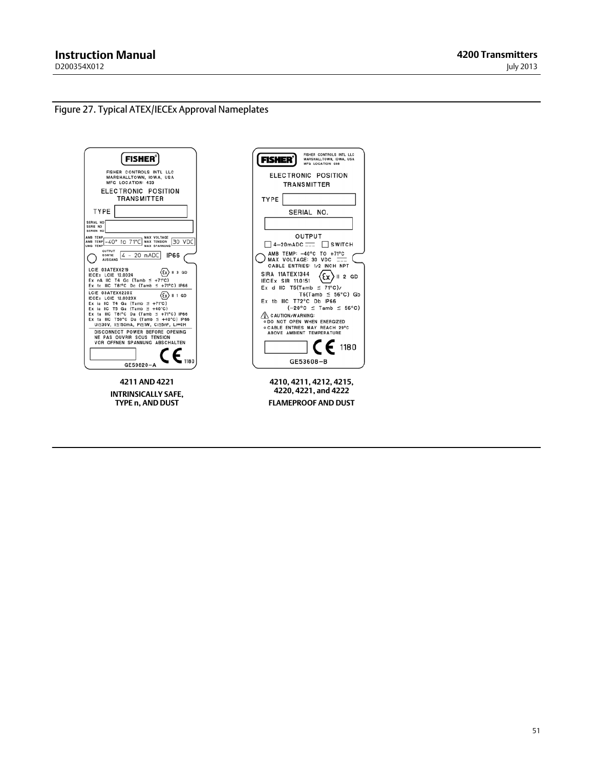$\overline{\phantom{a}}$ 

## <span id="page-50-0"></span>Figure 27. Typical ATEX/IECEx Approval Nameplates

| <b>FISHER</b>                                                                                                                                                                 |
|-------------------------------------------------------------------------------------------------------------------------------------------------------------------------------|
| FISHER CONTROLS INTL LLC<br>MARSHALLTOWN, IOWA, USA<br><b>MFG LOCATION: 433</b>                                                                                               |
| ELECTRONIC POSITION<br><b>TRANSMITTER</b>                                                                                                                                     |
| <b>TYPE</b>                                                                                                                                                                   |
| SERIAL NO<br>SERIE NO<br>SEREN NO                                                                                                                                             |
| MAX VOLTAGE<br>AMB TEMP<br>TO 71°C MAX TENSION<br>30 VDC<br>AMB TEMP -40°<br>UMG TEMP<br>MAX SPANNUNG                                                                         |
| OUTPUT<br>4 - 20 mADC<br><b>IP66</b><br>SORTIE<br><b>AUSGANG</b>                                                                                                              |
| LCIE 03ATEX6219<br>$\mathcal{E}$ x $\rangle$    3 GD<br><b>IECEX LCIE 12.0024</b><br>Ex nA IIC T4 Gc (Tamb $\leq$ +71°C)<br>Ex to IIIC T81°C Dc (Tamb $\leq$ +71°C) IP66      |
| LCIE 03ATEX6220X<br>$\{x\}$    1 GD<br><b>IECEX LCIE 12.0023X</b><br>Ex ia IIC T4 Ga (Tamb $\leq$ +71°C)                                                                      |
| Ex ia IIC T5 Ga (Tamb $\leq$ +40°C)<br>Ex ta IIIC T81°C Da (Tamb $\leq$ +71°C) IP66<br>Ex ta IIIC T50°C Da (Tamb $\leq$ +40°C) IP66<br>Ui≤30V, Ii≤150mA, Pi≤1W, Ci≤5nF, Li=0H |
| DISCONNECT POWER BEFORE OPENING<br>NE PAS OUVRIR SOUS TENSION<br>VOR OFFNEN SPANNUNG ABSCHALTEN                                                                               |
| GE59820-A                                                                                                                                                                     |
|                                                                                                                                                                               |

**4211 AND 4221 INTRINSICALLY SAFE, TYPE n, AND DUST**

| FISHER CONTROLS INTL LLC<br>FISHER<br>MARSHALLTOWN, IOWA, USA<br><b>MFG LOCATION: 088</b>                                                                     |
|---------------------------------------------------------------------------------------------------------------------------------------------------------------|
| <b>ELECTRONIC POSITION</b><br><b>TRANSMITTER</b>                                                                                                              |
| TYPE                                                                                                                                                          |
| SERIAL NO.                                                                                                                                                    |
|                                                                                                                                                               |
| OUTPUT                                                                                                                                                        |
| $4-20$ mADC $\equiv$ SWITCH                                                                                                                                   |
| AMB TEMP: -40°C TO +71°C<br>MAX VOLTAGE: 30 VDC<br>CABLE ENTRIES: 1/2 INCH NPT                                                                                |
| SIRA 11ATEX1344<br>) ∥ 2 GD<br>Έx<br><b>IECEX SIR 11.0151</b><br>Ex d IIC T5(Tamb $\leq$ 71°C)/<br>$T6(Tamb \leq 56^{\circ}C)$ Gb<br>Ex tb IIIC T72°C Db IP66 |
| $(-20^{\circ}C \leq$ Tamb $\leq 56^{\circ}C)$<br>CAUTION/WARNING:<br>. DO NOT OPEN WHEN ENERGIZED                                                             |
| o CABLE ENTRIES MAY REACH 29°C<br>ABOVE AMBIENT TEMPERATURE                                                                                                   |
| $\mathsf{C}\,\mathsf{E}$ 1180                                                                                                                                 |
| GE53608-B                                                                                                                                                     |
| 4210.4211.4212.4215.<br>4220, 4221, and 4222                                                                                                                  |
| <b>FLAMEPROOF AND DUST</b>                                                                                                                                    |